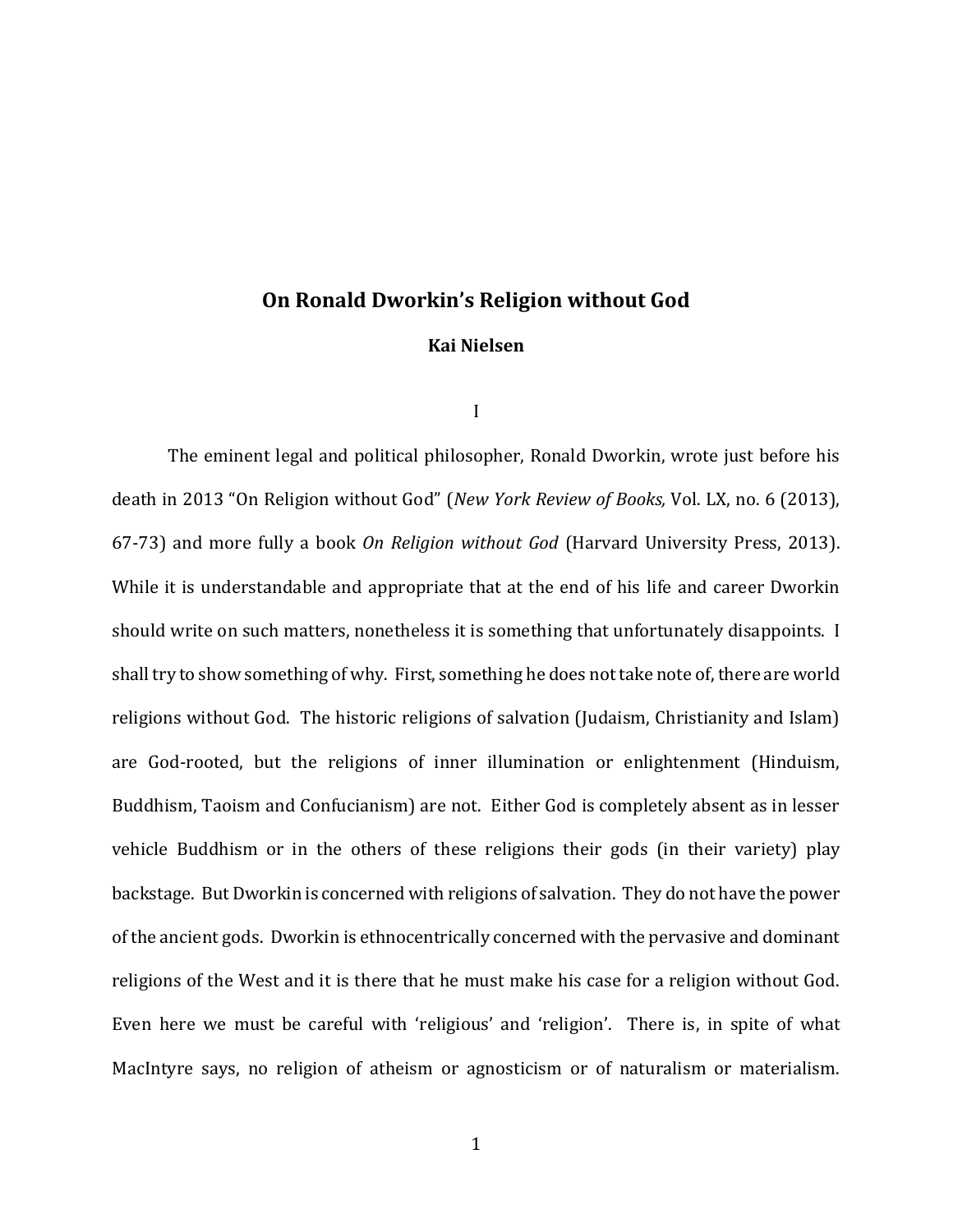## **On Ronald Dworkin's Religion without God**

### **Kai Nielsen**

I

The eminent legal and political philosopher, Ronald Dworkin, wrote just before his death in 2013 "On Religion without God" (*New York Review of Books,* Vol. LX, no. 6 (2013), 67-73) and more fully a book *On Religion without God* (Harvard University Press, 2013). While it is understandable and appropriate that at the end of his life and career Dworkin should write on such matters, nonetheless it is something that unfortunately disappoints. I shall try to show something of why. First, something he does not take note of, there are world religions without God. The historic religions of salvation (Judaism, Christianity and Islam) are God-rooted, but the religions of inner illumination or enlightenment (Hinduism, Buddhism, Taoism and Confucianism) are not. Either God is completely absent as in lesser vehicle Buddhism or in the others of these religions their gods (in their variety) play backstage. But Dworkin is concerned with religions of salvation. They do not have the power of the ancient gods. Dworkin is ethnocentrically concerned with the pervasive and dominant religions of the West and it is there that he must make his case for a religion without God. Even here we must be careful with 'religious' and 'religion'. There is, in spite of what MacIntyre says, no religion of atheism or agnosticism or of naturalism or materialism.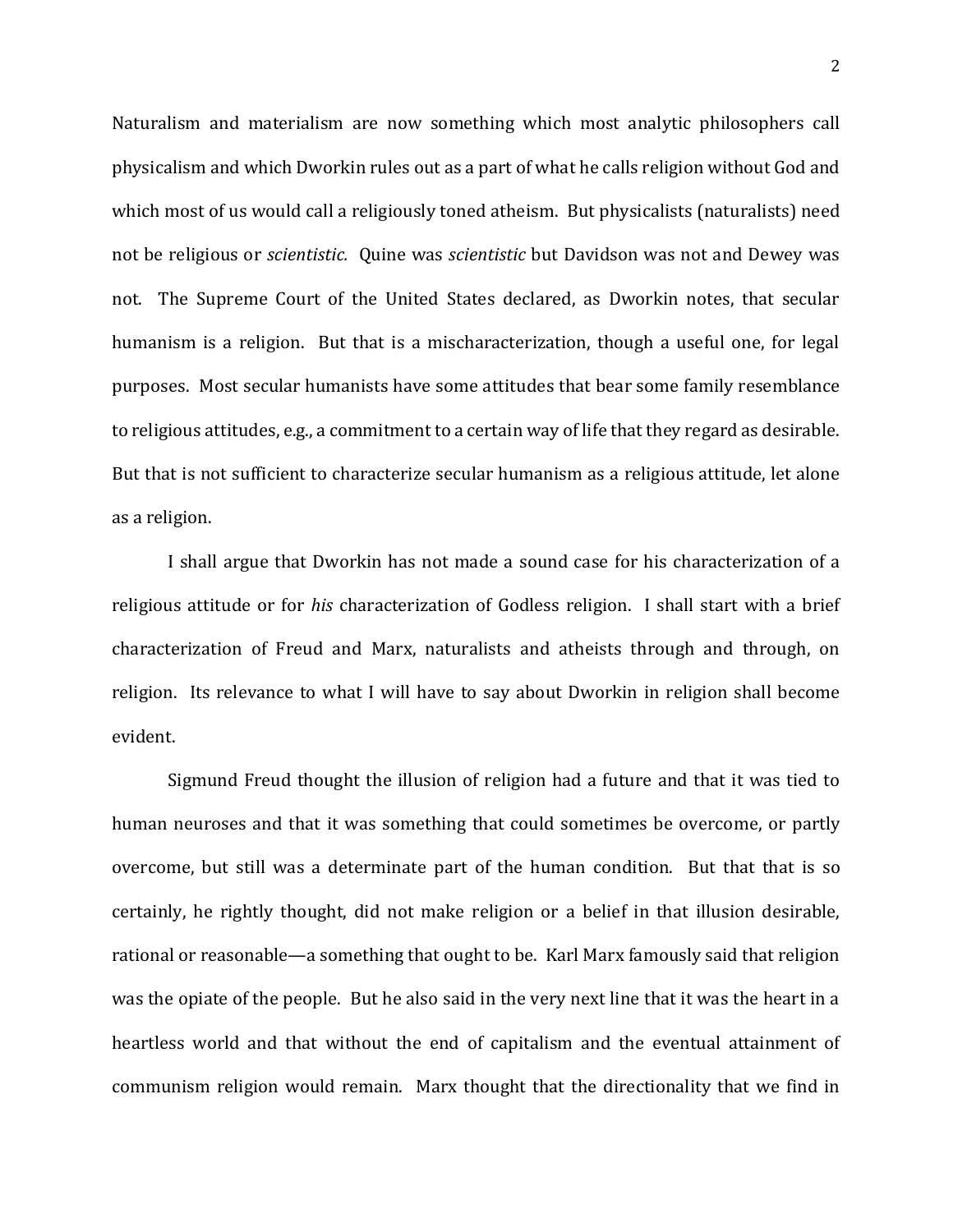Naturalism and materialism are now something which most analytic philosophers call physicalism and which Dworkin rules out as a part of what he calls religion without God and which most of us would call a religiously toned atheism. But physicalists (naturalists) need not be religious or *scientistic.* Quine was *scientistic* but Davidson was not and Dewey was not. The Supreme Court of the United States declared, as Dworkin notes, that secular humanism is a religion. But that is a mischaracterization, though a useful one, for legal purposes. Most secular humanists have some attitudes that bear some family resemblance to religious attitudes, e.g., a commitment to a certain way of life that they regard as desirable. But that is not sufficient to characterize secular humanism as a religious attitude, let alone as a religion.

I shall argue that Dworkin has not made a sound case for his characterization of a religious attitude or for *his* characterization of Godless religion. I shall start with a brief characterization of Freud and Marx, naturalists and atheists through and through, on religion. Its relevance to what I will have to say about Dworkin in religion shall become evident.

Sigmund Freud thought the illusion of religion had a future and that it was tied to human neuroses and that it was something that could sometimes be overcome, or partly overcome, but still was a determinate part of the human condition. But that that is so certainly, he rightly thought, did not make religion or a belief in that illusion desirable, rational or reasonable—a something that ought to be. Karl Marx famously said that religion was the opiate of the people. But he also said in the very next line that it was the heart in a heartless world and that without the end of capitalism and the eventual attainment of communism religion would remain. Marx thought that the directionality that we find in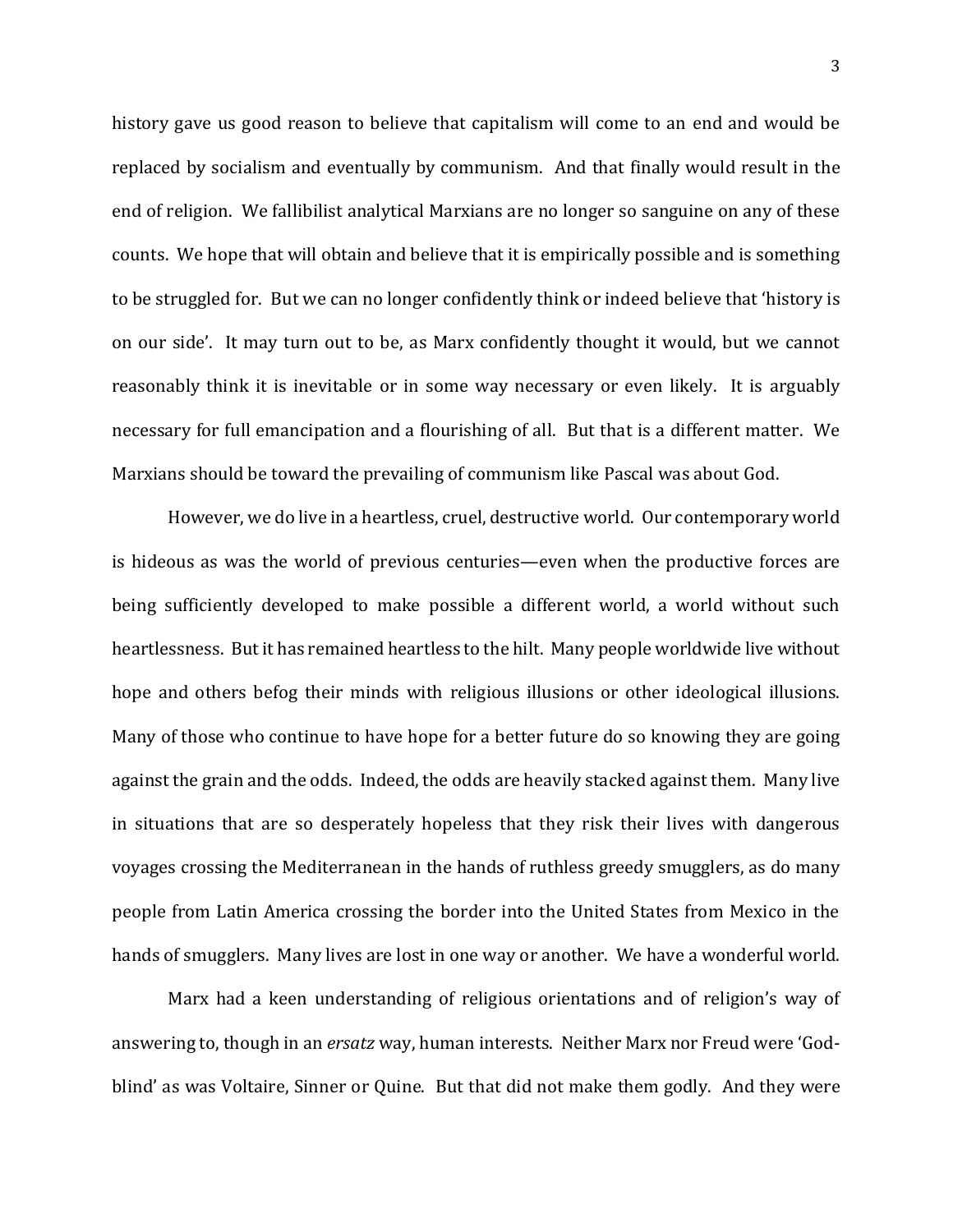history gave us good reason to believe that capitalism will come to an end and would be replaced by socialism and eventually by communism. And that finally would result in the end of religion. We fallibilist analytical Marxians are no longer so sanguine on any of these counts. We hope that will obtain and believe that it is empirically possible and is something to be struggled for. But we can no longer confidently think or indeed believe that 'history is on our side'. It may turn out to be, as Marx confidently thought it would, but we cannot reasonably think it is inevitable or in some way necessary or even likely. It is arguably necessary for full emancipation and a flourishing of all. But that is a different matter. We Marxians should be toward the prevailing of communism like Pascal was about God.

However, we do live in a heartless, cruel, destructive world. Our contemporary world is hideous as was the world of previous centuries—even when the productive forces are being sufficiently developed to make possible a different world, a world without such heartlessness. But it has remained heartless to the hilt. Many people worldwide live without hope and others befog their minds with religious illusions or other ideological illusions. Many of those who continue to have hope for a better future do so knowing they are going against the grain and the odds. Indeed, the odds are heavily stacked against them. Many live in situations that are so desperately hopeless that they risk their lives with dangerous voyages crossing the Mediterranean in the hands of ruthless greedy smugglers, as do many people from Latin America crossing the border into the United States from Mexico in the hands of smugglers. Many lives are lost in one way or another. We have a wonderful world.

Marx had a keen understanding of religious orientations and of religion's way of answering to, though in an *ersatz* way, human interests. Neither Marx nor Freud were 'Godblind' as was Voltaire, Sinner or Quine. But that did not make them godly. And they were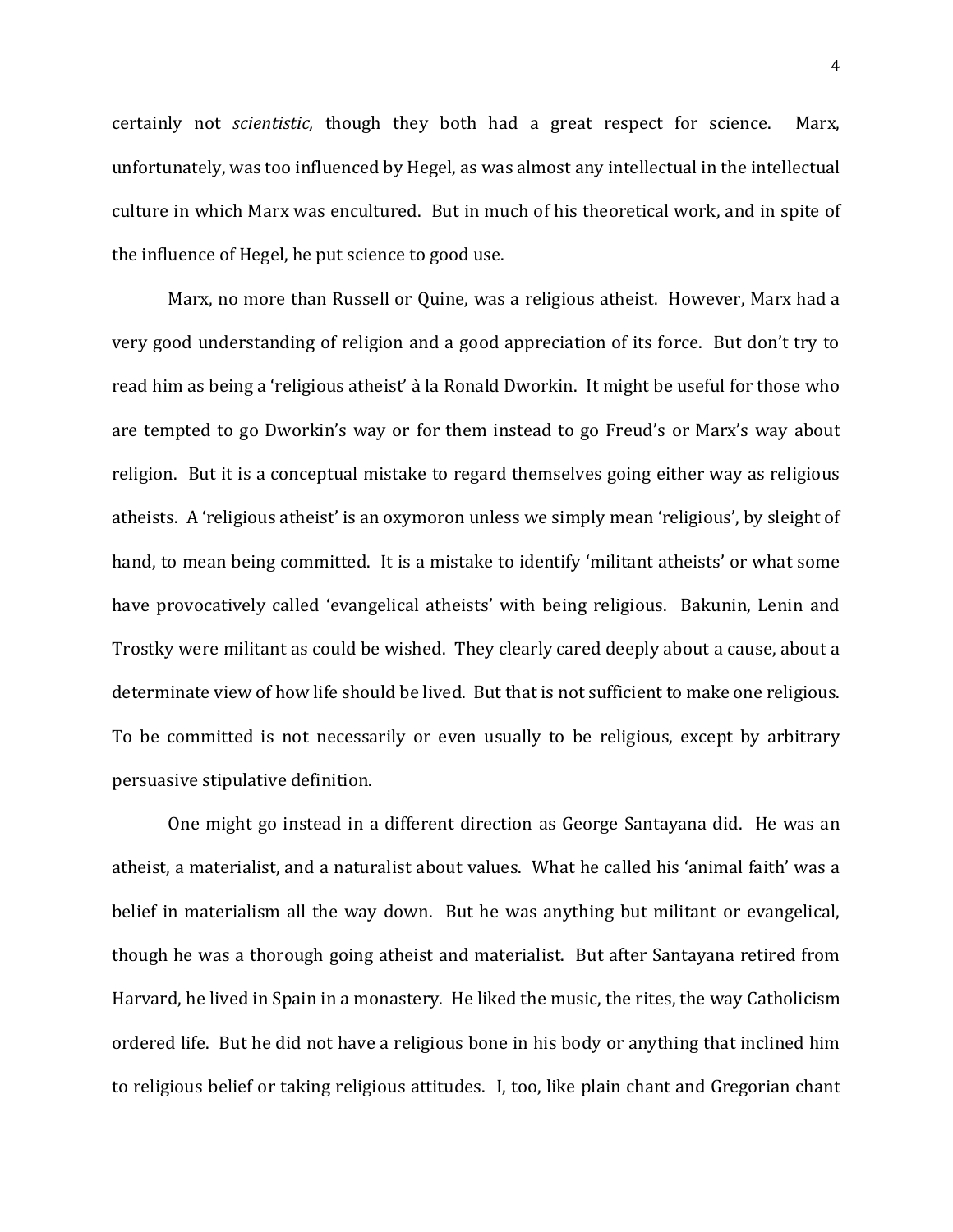certainly not *scientistic,* though they both had a great respect for science. Marx, unfortunately, was too influenced by Hegel, as was almost any intellectual in the intellectual culture in which Marx was encultured. But in much of his theoretical work, and in spite of the influence of Hegel, he put science to good use.

Marx, no more than Russell or Quine, was a religious atheist. However, Marx had a very good understanding of religion and a good appreciation of its force. But don't try to read him as being a 'religious atheist' à la Ronald Dworkin. It might be useful for those who are tempted to go Dworkin's way or for them instead to go Freud's or Marx's way about religion. But it is a conceptual mistake to regard themselves going either way as religious atheists. A 'religious atheist' is an oxymoron unless we simply mean 'religious', by sleight of hand, to mean being committed. It is a mistake to identify 'militant atheists' or what some have provocatively called 'evangelical atheists' with being religious. Bakunin, Lenin and Trostky were militant as could be wished. They clearly cared deeply about a cause, about a determinate view of how life should be lived. But that is not sufficient to make one religious. To be committed is not necessarily or even usually to be religious, except by arbitrary persuasive stipulative definition.

One might go instead in a different direction as George Santayana did. He was an atheist, a materialist, and a naturalist about values. What he called his 'animal faith' was a belief in materialism all the way down. But he was anything but militant or evangelical, though he was a thorough going atheist and materialist. But after Santayana retired from Harvard, he lived in Spain in a monastery. He liked the music, the rites, the way Catholicism ordered life. But he did not have a religious bone in his body or anything that inclined him to religious belief or taking religious attitudes. I, too, like plain chant and Gregorian chant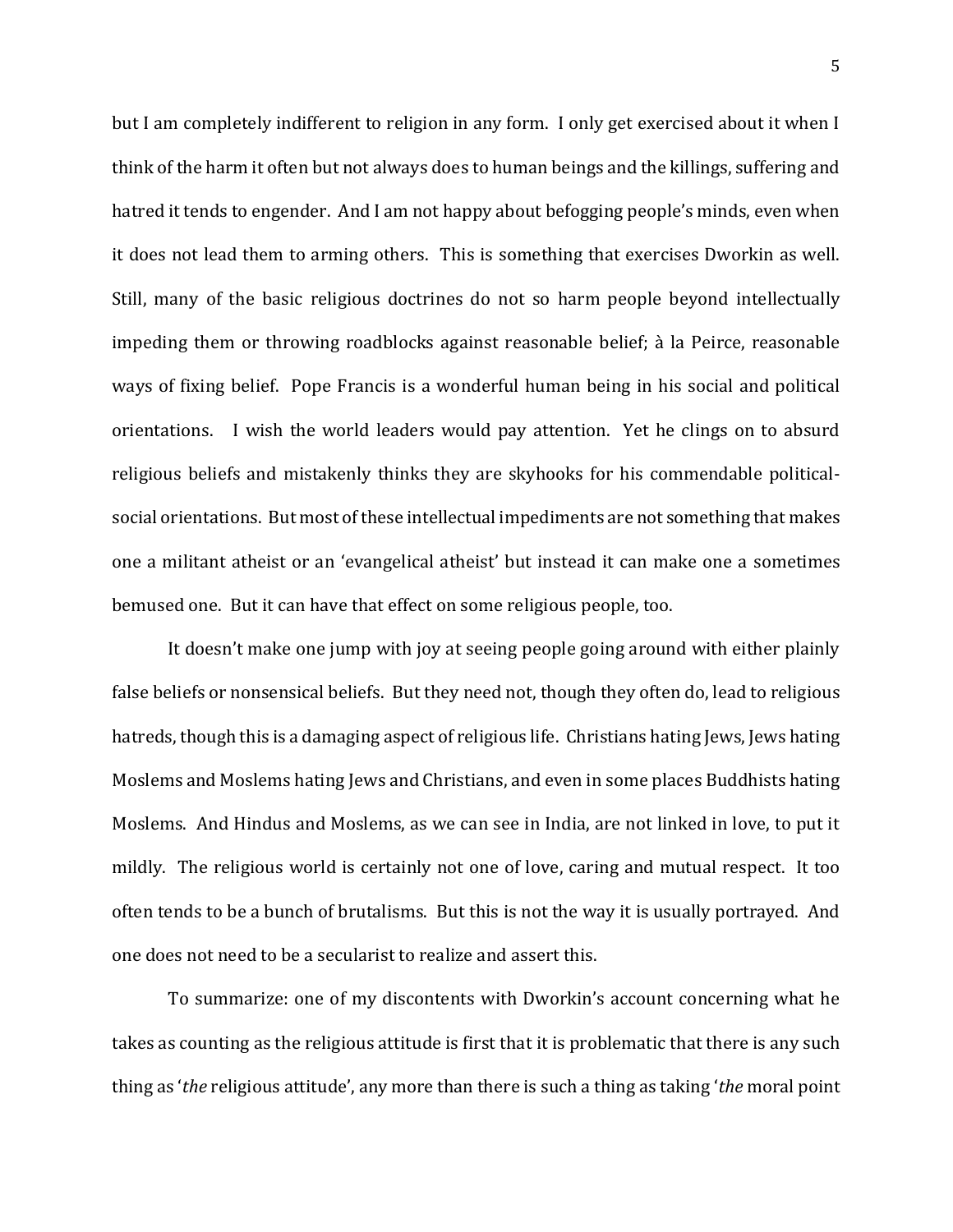but I am completely indifferent to religion in any form. I only get exercised about it when I think of the harm it often but not always does to human beings and the killings, suffering and hatred it tends to engender. And I am not happy about befogging people's minds, even when it does not lead them to arming others. This is something that exercises Dworkin as well. Still, many of the basic religious doctrines do not so harm people beyond intellectually impeding them or throwing roadblocks against reasonable belief; à la Peirce, reasonable ways of fixing belief. Pope Francis is a wonderful human being in his social and political orientations. I wish the world leaders would pay attention. Yet he clings on to absurd religious beliefs and mistakenly thinks they are skyhooks for his commendable politicalsocial orientations. But most of these intellectual impediments are not something that makes one a militant atheist or an 'evangelical atheist' but instead it can make one a sometimes bemused one. But it can have that effect on some religious people, too.

It doesn't make one jump with joy at seeing people going around with either plainly false beliefs or nonsensical beliefs. But they need not, though they often do, lead to religious hatreds, though this is a damaging aspect of religious life. Christians hating Jews, Jews hating Moslems and Moslems hating Jews and Christians, and even in some places Buddhists hating Moslems. And Hindus and Moslems, as we can see in India, are not linked in love, to put it mildly. The religious world is certainly not one of love, caring and mutual respect. It too often tends to be a bunch of brutalisms. But this is not the way it is usually portrayed. And one does not need to be a secularist to realize and assert this.

To summarize: one of my discontents with Dworkin's account concerning what he takes as counting as the religious attitude is first that it is problematic that there is any such thing as '*the* religious attitude', any more than there is such a thing as taking '*the* moral point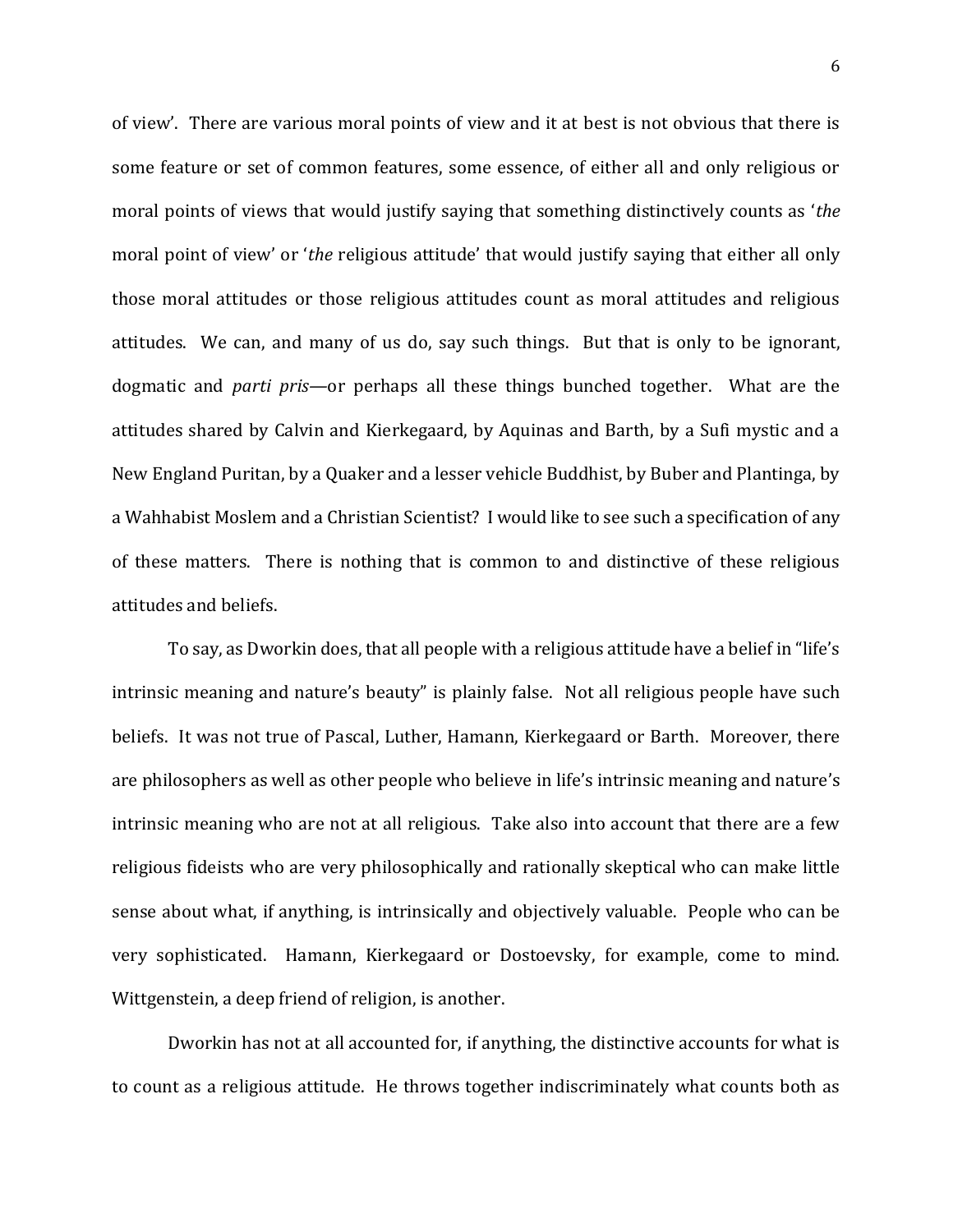of view'. There are various moral points of view and it at best is not obvious that there is some feature or set of common features, some essence, of either all and only religious or moral points of views that would justify saying that something distinctively counts as '*the*  moral point of view' or '*the* religious attitude' that would justify saying that either all only those moral attitudes or those religious attitudes count as moral attitudes and religious attitudes. We can, and many of us do, say such things. But that is only to be ignorant, dogmatic and *parti pris—*or perhaps all these things bunched together. What are the attitudes shared by Calvin and Kierkegaard, by Aquinas and Barth, by a Sufi mystic and a New England Puritan, by a Quaker and a lesser vehicle Buddhist, by Buber and Plantinga, by a Wahhabist Moslem and a Christian Scientist? I would like to see such a specification of any of these matters. There is nothing that is common to and distinctive of these religious attitudes and beliefs.

To say, as Dworkin does, that all people with a religious attitude have a belief in "life's intrinsic meaning and nature's beauty" is plainly false. Not all religious people have such beliefs. It was not true of Pascal, Luther, Hamann, Kierkegaard or Barth. Moreover, there are philosophers as well as other people who believe in life's intrinsic meaning and nature's intrinsic meaning who are not at all religious. Take also into account that there are a few religious fideists who are very philosophically and rationally skeptical who can make little sense about what, if anything, is intrinsically and objectively valuable. People who can be very sophisticated. Hamann, Kierkegaard or Dostoevsky, for example, come to mind. Wittgenstein, a deep friend of religion, is another.

Dworkin has not at all accounted for, if anything, the distinctive accounts for what is to count as a religious attitude. He throws together indiscriminately what counts both as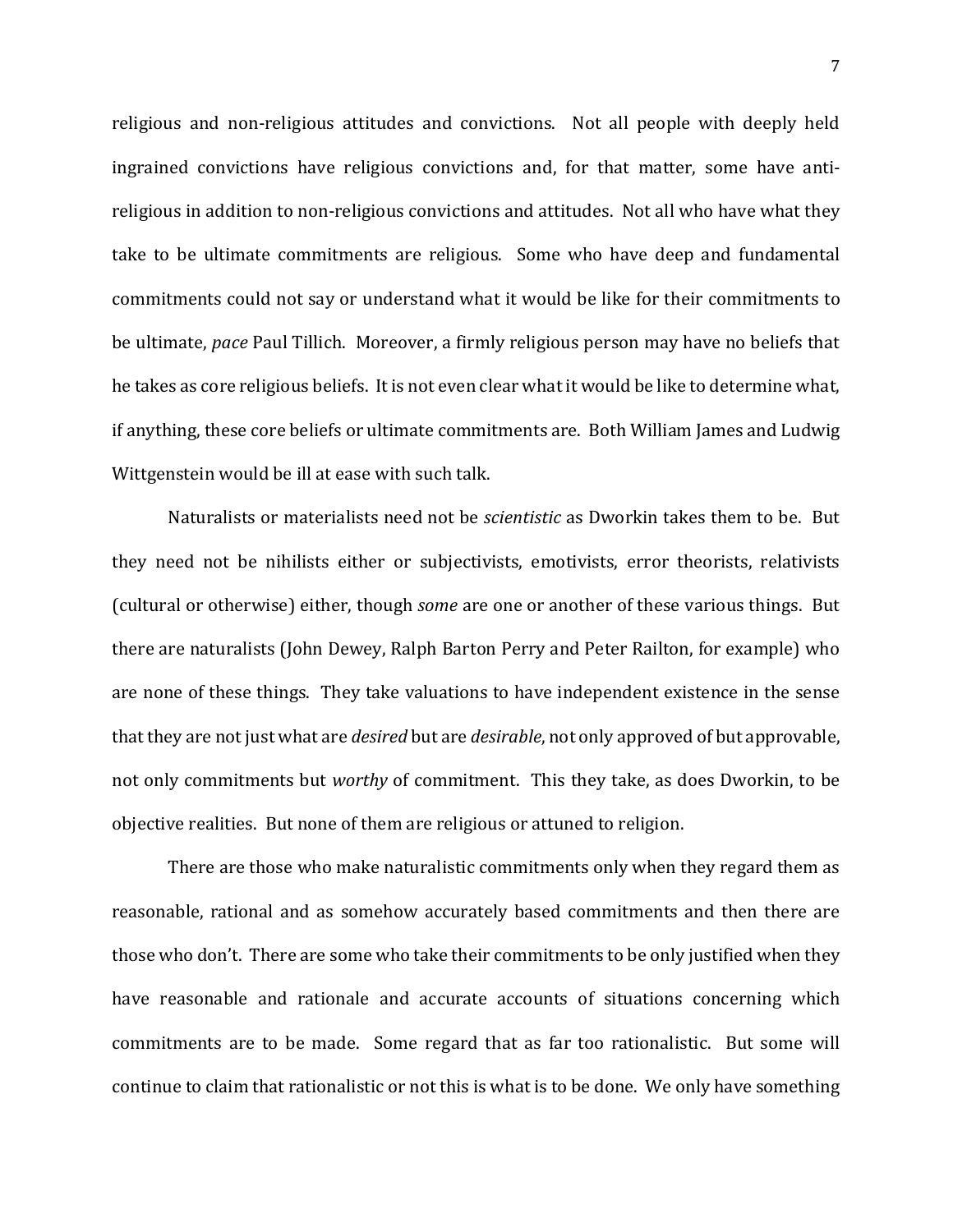religious and non-religious attitudes and convictions. Not all people with deeply held ingrained convictions have religious convictions and, for that matter, some have antireligious in addition to non-religious convictions and attitudes. Not all who have what they take to be ultimate commitments are religious. Some who have deep and fundamental commitments could not say or understand what it would be like for their commitments to be ultimate, *pace* Paul Tillich. Moreover, a firmly religious person may have no beliefs that he takes as core religious beliefs. It is not even clear what it would be like to determine what, if anything, these core beliefs or ultimate commitments are. Both William James and Ludwig Wittgenstein would be ill at ease with such talk.

Naturalists or materialists need not be *scientistic* as Dworkin takes them to be. But they need not be nihilists either or subjectivists, emotivists, error theorists, relativists (cultural or otherwise) either, though *some* are one or another of these various things. But there are naturalists (John Dewey, Ralph Barton Perry and Peter Railton, for example) who are none of these things. They take valuations to have independent existence in the sense that they are not just what are *desired* but are *desirable*, not only approved of but approvable, not only commitments but *worthy* of commitment. This they take, as does Dworkin, to be objective realities. But none of them are religious or attuned to religion.

There are those who make naturalistic commitments only when they regard them as reasonable, rational and as somehow accurately based commitments and then there are those who don't. There are some who take their commitments to be only justified when they have reasonable and rationale and accurate accounts of situations concerning which commitments are to be made. Some regard that as far too rationalistic. But some will continue to claim that rationalistic or not this is what is to be done. We only have something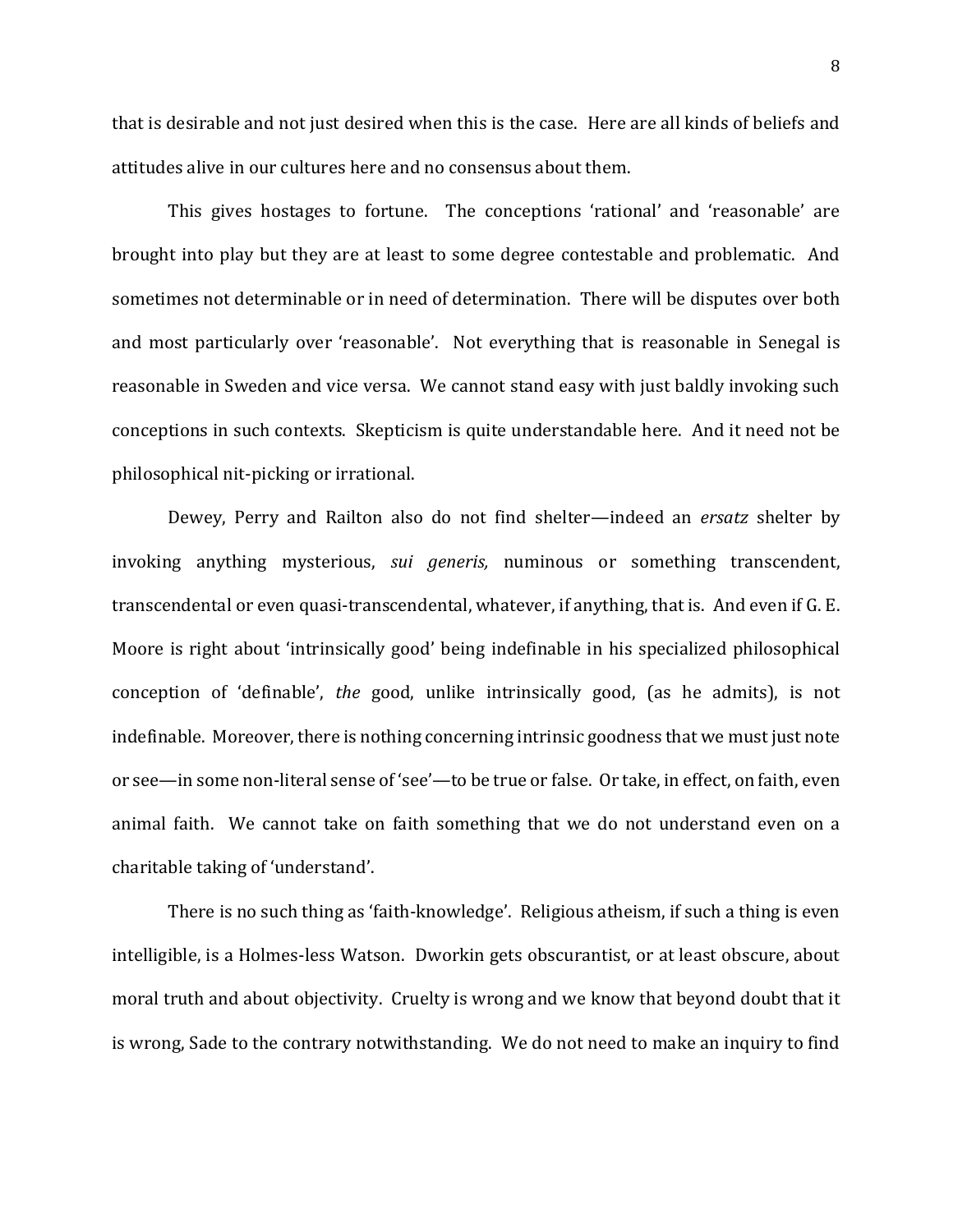that is desirable and not just desired when this is the case. Here are all kinds of beliefs and attitudes alive in our cultures here and no consensus about them.

This gives hostages to fortune. The conceptions 'rational' and 'reasonable' are brought into play but they are at least to some degree contestable and problematic. And sometimes not determinable or in need of determination. There will be disputes over both and most particularly over 'reasonable'. Not everything that is reasonable in Senegal is reasonable in Sweden and vice versa. We cannot stand easy with just baldly invoking such conceptions in such contexts. Skepticism is quite understandable here. And it need not be philosophical nit-picking or irrational.

Dewey, Perry and Railton also do not find shelter—indeed an *ersatz* shelter by invoking anything mysterious, *sui generis,* numinous or something transcendent, transcendental or even quasi-transcendental, whatever, if anything, that is. And even if G. E. Moore is right about 'intrinsically good' being indefinable in his specialized philosophical conception of 'definable', *the* good, unlike intrinsically good, (as he admits), is not indefinable. Moreover, there is nothing concerning intrinsic goodness that we must just note or see—in some non-literal sense of 'see'—to be true or false. Or take, in effect, on faith, even animal faith. We cannot take on faith something that we do not understand even on a charitable taking of 'understand'.

There is no such thing as 'faith-knowledge'. Religious atheism, if such a thing is even intelligible, is a Holmes-less Watson. Dworkin gets obscurantist, or at least obscure, about moral truth and about objectivity. Cruelty is wrong and we know that beyond doubt that it is wrong, Sade to the contrary notwithstanding. We do not need to make an inquiry to find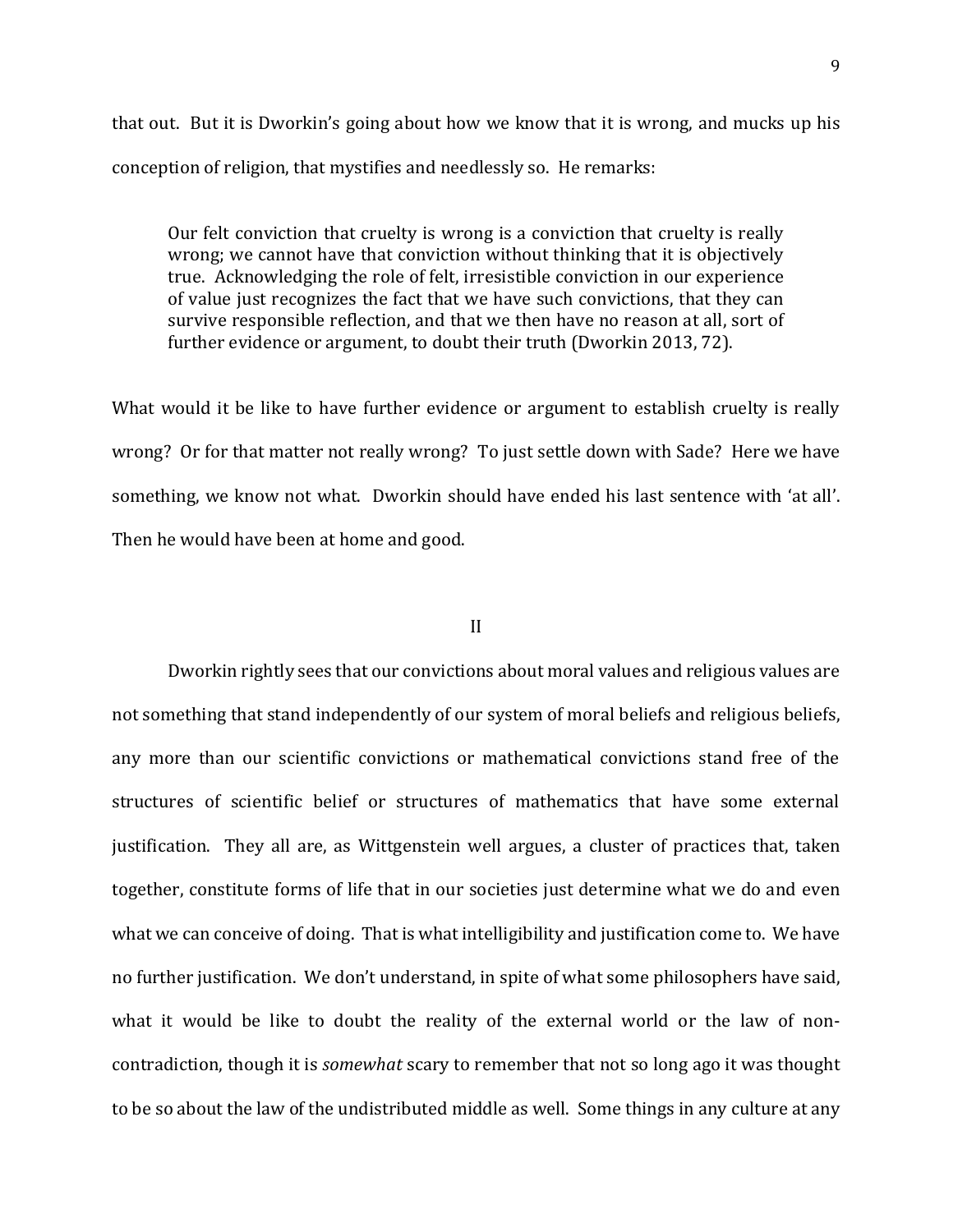that out. But it is Dworkin's going about how we know that it is wrong, and mucks up his conception of religion, that mystifies and needlessly so. He remarks:

Our felt conviction that cruelty is wrong is a conviction that cruelty is really wrong; we cannot have that conviction without thinking that it is objectively true. Acknowledging the role of felt, irresistible conviction in our experience of value just recognizes the fact that we have such convictions, that they can survive responsible reflection, and that we then have no reason at all, sort of further evidence or argument, to doubt their truth (Dworkin 2013, 72).

What would it be like to have further evidence or argument to establish cruelty is really wrong? Or for that matter not really wrong? To just settle down with Sade? Here we have something, we know not what. Dworkin should have ended his last sentence with 'at all'. Then he would have been at home and good.

#### II

Dworkin rightly sees that our convictions about moral values and religious values are not something that stand independently of our system of moral beliefs and religious beliefs, any more than our scientific convictions or mathematical convictions stand free of the structures of scientific belief or structures of mathematics that have some external justification. They all are, as Wittgenstein well argues, a cluster of practices that, taken together, constitute forms of life that in our societies just determine what we do and even what we can conceive of doing. That is what intelligibility and justification come to. We have no further justification. We don't understand, in spite of what some philosophers have said, what it would be like to doubt the reality of the external world or the law of noncontradiction, though it is *somewhat* scary to remember that not so long ago it was thought to be so about the law of the undistributed middle as well. Some things in any culture at any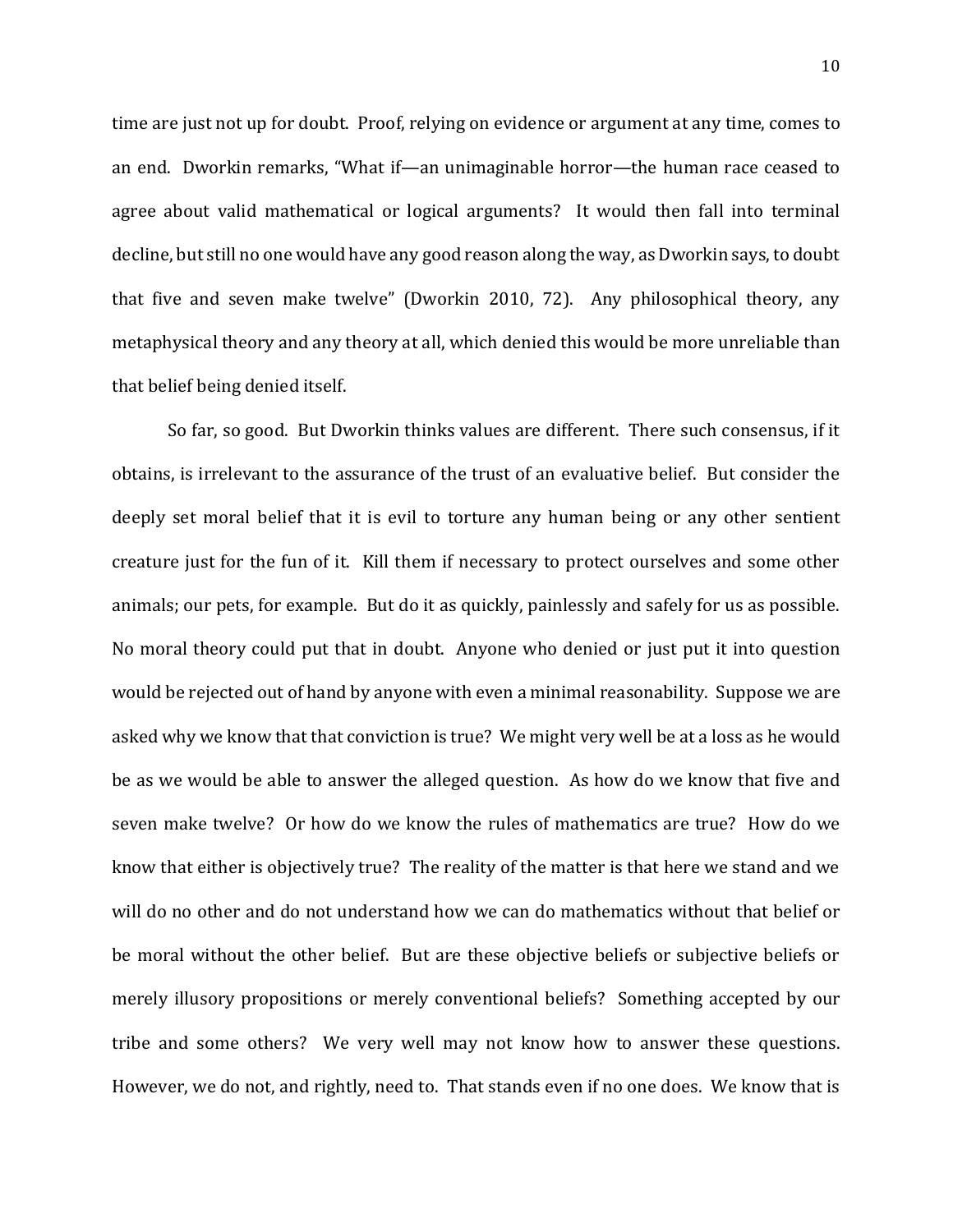time are just not up for doubt. Proof, relying on evidence or argument at any time, comes to an end. Dworkin remarks, "What if—an unimaginable horror—the human race ceased to agree about valid mathematical or logical arguments? It would then fall into terminal decline, but still no one would have any good reason along the way, as Dworkin says, to doubt that five and seven make twelve" (Dworkin 2010, 72). Any philosophical theory, any metaphysical theory and any theory at all, which denied this would be more unreliable than that belief being denied itself.

So far, so good. But Dworkin thinks values are different. There such consensus, if it obtains, is irrelevant to the assurance of the trust of an evaluative belief. But consider the deeply set moral belief that it is evil to torture any human being or any other sentient creature just for the fun of it. Kill them if necessary to protect ourselves and some other animals; our pets, for example. But do it as quickly, painlessly and safely for us as possible. No moral theory could put that in doubt. Anyone who denied or just put it into question would be rejected out of hand by anyone with even a minimal reasonability. Suppose we are asked why we know that that conviction is true? We might very well be at a loss as he would be as we would be able to answer the alleged question. As how do we know that five and seven make twelve? Or how do we know the rules of mathematics are true? How do we know that either is objectively true? The reality of the matter is that here we stand and we will do no other and do not understand how we can do mathematics without that belief or be moral without the other belief. But are these objective beliefs or subjective beliefs or merely illusory propositions or merely conventional beliefs? Something accepted by our tribe and some others? We very well may not know how to answer these questions. However, we do not, and rightly, need to. That stands even if no one does. We know that is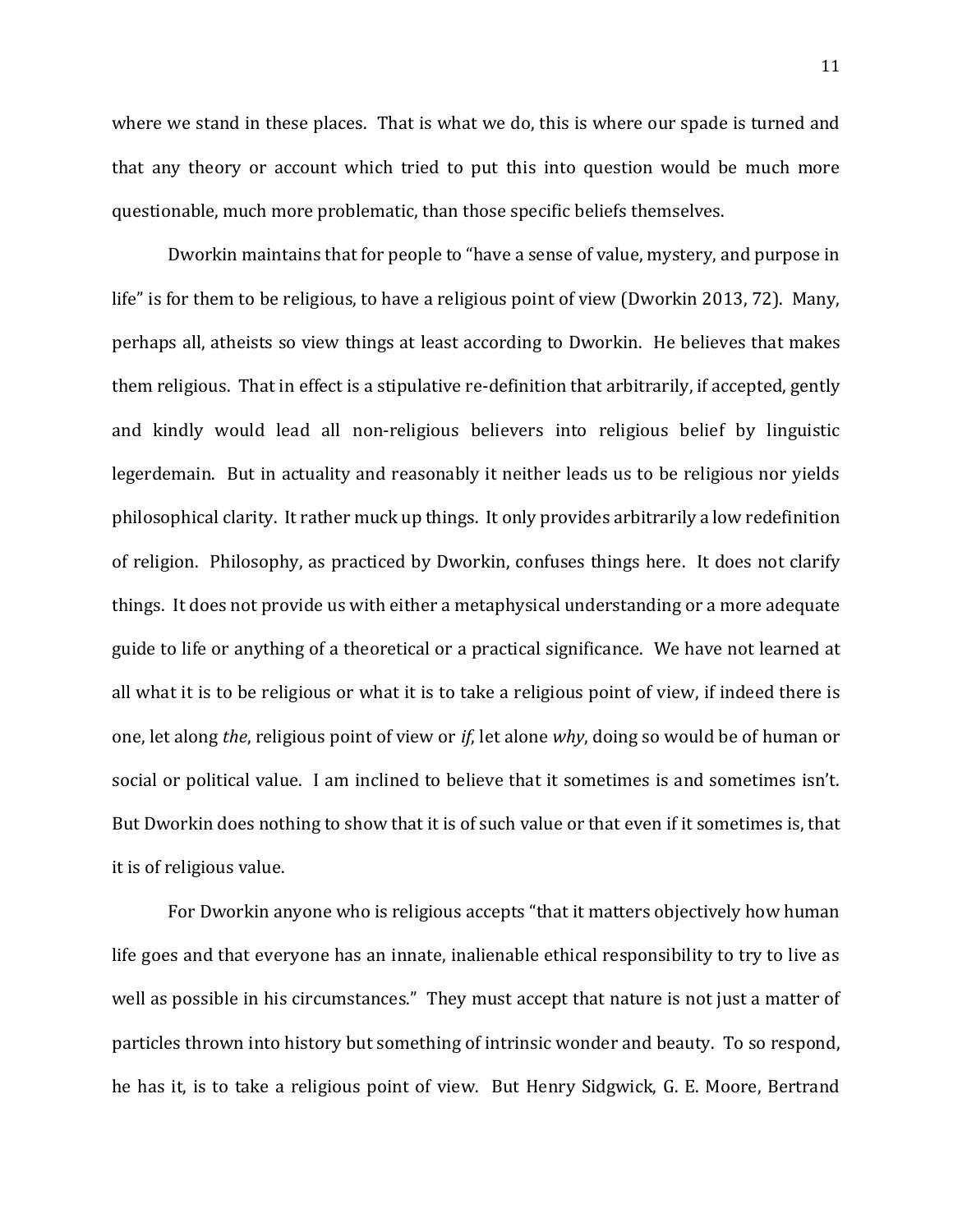where we stand in these places. That is what we do, this is where our spade is turned and that any theory or account which tried to put this into question would be much more questionable, much more problematic, than those specific beliefs themselves.

Dworkin maintains that for people to "have a sense of value, mystery, and purpose in life" is for them to be religious, to have a religious point of view (Dworkin 2013, 72). Many, perhaps all, atheists so view things at least according to Dworkin. He believes that makes them religious. That in effect is a stipulative re-definition that arbitrarily, if accepted, gently and kindly would lead all non-religious believers into religious belief by linguistic legerdemain. But in actuality and reasonably it neither leads us to be religious nor yields philosophical clarity. It rather muck up things. It only provides arbitrarily a low redefinition of religion. Philosophy, as practiced by Dworkin, confuses things here. It does not clarify things. It does not provide us with either a metaphysical understanding or a more adequate guide to life or anything of a theoretical or a practical significance. We have not learned at all what it is to be religious or what it is to take a religious point of view, if indeed there is one, let along *the*, religious point of view or *if*, let alone *why*, doing so would be of human or social or political value. I am inclined to believe that it sometimes is and sometimes isn't. But Dworkin does nothing to show that it is of such value or that even if it sometimes is, that it is of religious value.

For Dworkin anyone who is religious accepts "that it matters objectively how human life goes and that everyone has an innate, inalienable ethical responsibility to try to live as well as possible in his circumstances." They must accept that nature is not just a matter of particles thrown into history but something of intrinsic wonder and beauty. To so respond, he has it, is to take a religious point of view. But Henry Sidgwick, G. E. Moore, Bertrand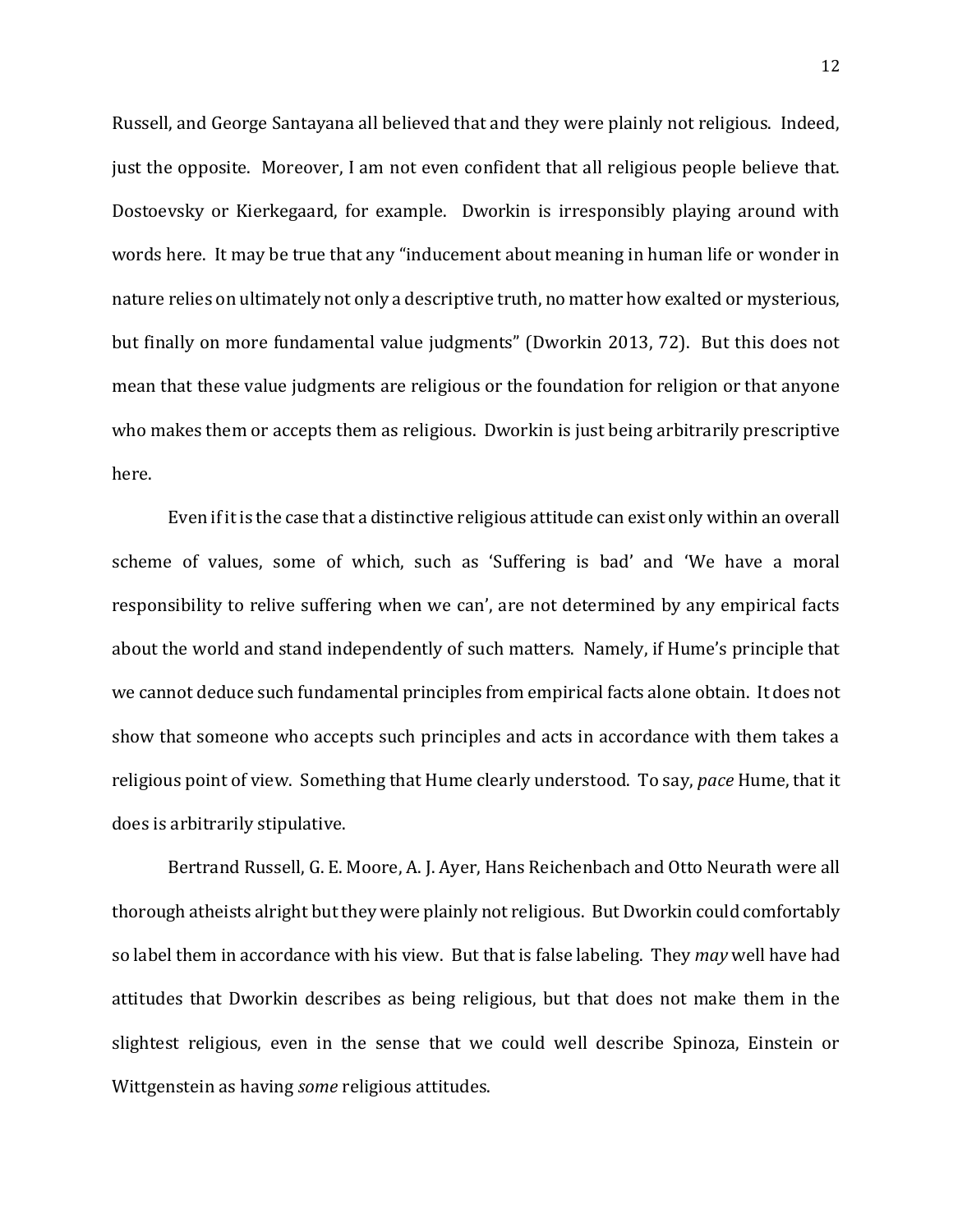Russell, and George Santayana all believed that and they were plainly not religious. Indeed, just the opposite. Moreover, I am not even confident that all religious people believe that. Dostoevsky or Kierkegaard, for example. Dworkin is irresponsibly playing around with words here. It may be true that any "inducement about meaning in human life or wonder in nature relies on ultimately not only a descriptive truth, no matter how exalted or mysterious, but finally on more fundamental value judgments" (Dworkin 2013, 72). But this does not mean that these value judgments are religious or the foundation for religion or that anyone who makes them or accepts them as religious. Dworkin is just being arbitrarily prescriptive here.

Even if it is the case that a distinctive religious attitude can exist only within an overall scheme of values, some of which, such as 'Suffering is bad' and 'We have a moral responsibility to relive suffering when we can', are not determined by any empirical facts about the world and stand independently of such matters. Namely, if Hume's principle that we cannot deduce such fundamental principles from empirical facts alone obtain. It does not show that someone who accepts such principles and acts in accordance with them takes a religious point of view. Something that Hume clearly understood. To say, *pace* Hume, that it does is arbitrarily stipulative.

Bertrand Russell, G. E. Moore, A. J. Ayer, Hans Reichenbach and Otto Neurath were all thorough atheists alright but they were plainly not religious. But Dworkin could comfortably so label them in accordance with his view. But that is false labeling. They *may* well have had attitudes that Dworkin describes as being religious, but that does not make them in the slightest religious, even in the sense that we could well describe Spinoza, Einstein or Wittgenstein as having *some* religious attitudes.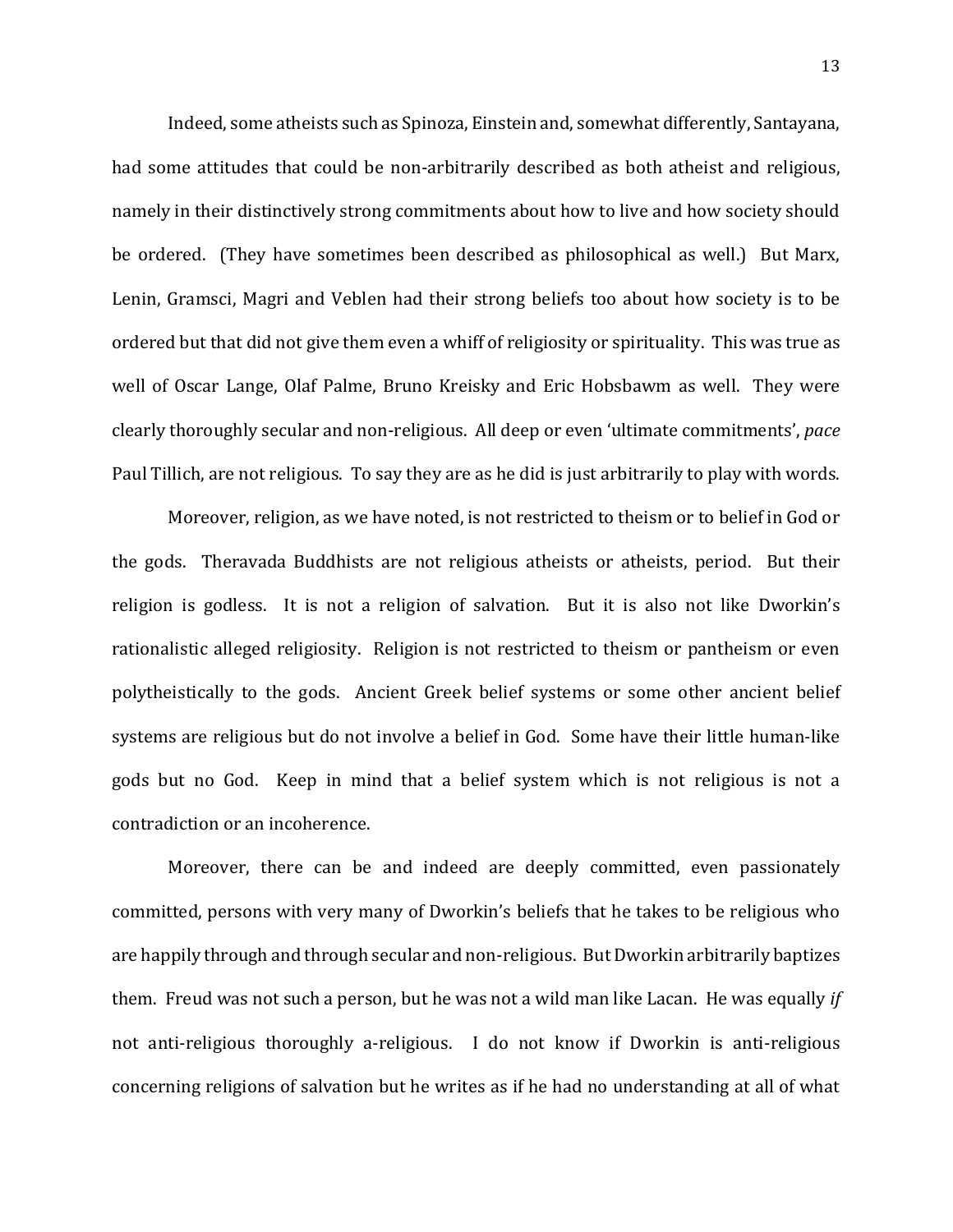Indeed, some atheists such as Spinoza, Einstein and, somewhat differently, Santayana, had some attitudes that could be non-arbitrarily described as both atheist and religious, namely in their distinctively strong commitments about how to live and how society should be ordered. (They have sometimes been described as philosophical as well.) But Marx, Lenin, Gramsci, Magri and Veblen had their strong beliefs too about how society is to be ordered but that did not give them even a whiff of religiosity or spirituality. This was true as well of Oscar Lange, Olaf Palme, Bruno Kreisky and Eric Hobsbawm as well. They were clearly thoroughly secular and non-religious. All deep or even 'ultimate commitments', *pace*  Paul Tillich, are not religious. To say they are as he did is just arbitrarily to play with words.

Moreover, religion, as we have noted, is not restricted to theism or to belief in God or the gods. Theravada Buddhists are not religious atheists or atheists, period. But their religion is godless. It is not a religion of salvation. But it is also not like Dworkin's rationalistic alleged religiosity. Religion is not restricted to theism or pantheism or even polytheistically to the gods. Ancient Greek belief systems or some other ancient belief systems are religious but do not involve a belief in God. Some have their little human-like gods but no God. Keep in mind that a belief system which is not religious is not a contradiction or an incoherence.

Moreover, there can be and indeed are deeply committed, even passionately committed, persons with very many of Dworkin's beliefs that he takes to be religious who are happily through and through secular and non-religious. But Dworkin arbitrarily baptizes them. Freud was not such a person, but he was not a wild man like Lacan. He was equally *if*  not anti-religious thoroughly a-religious. I do not know if Dworkin is anti-religious concerning religions of salvation but he writes as if he had no understanding at all of what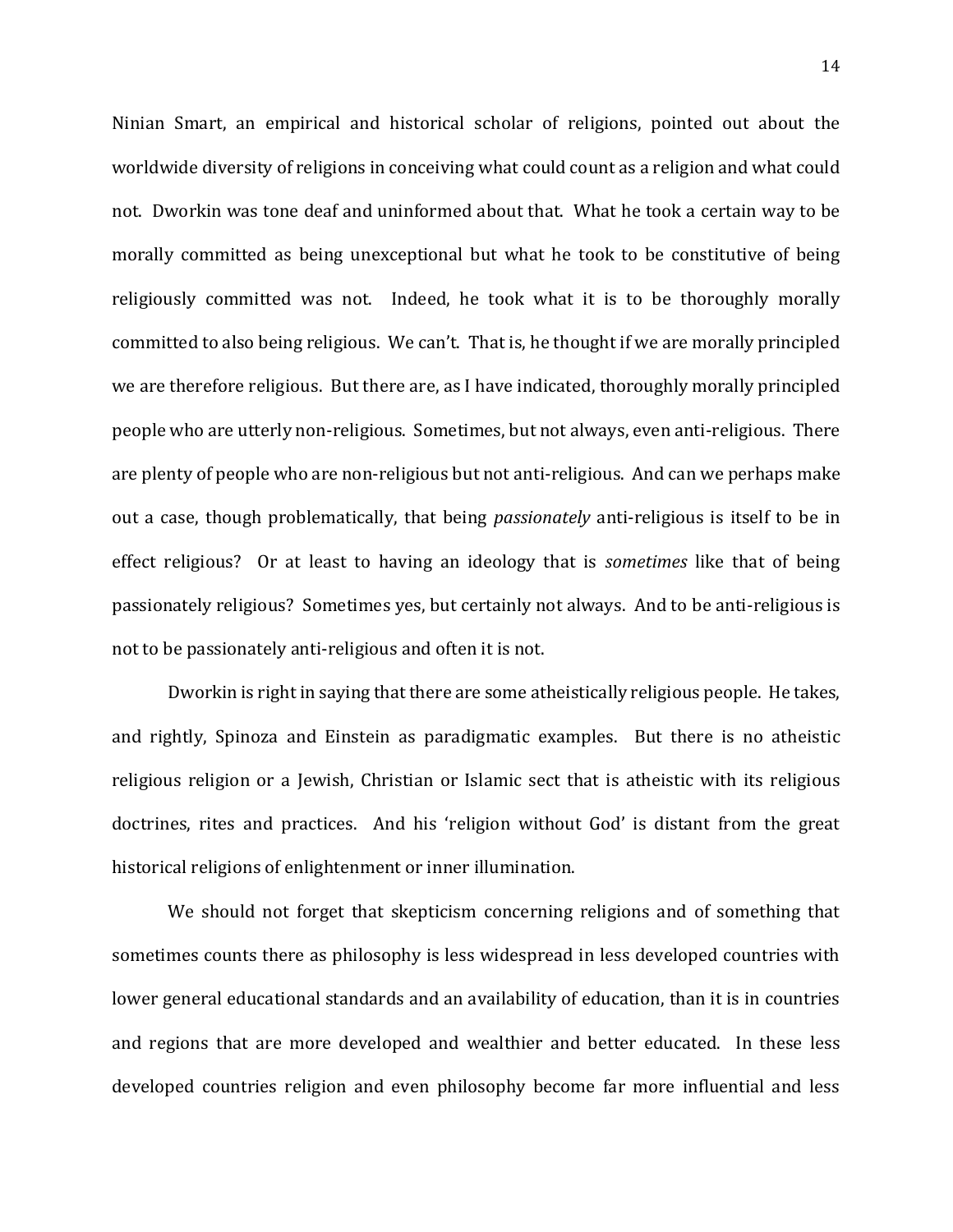Ninian Smart, an empirical and historical scholar of religions, pointed out about the worldwide diversity of religions in conceiving what could count as a religion and what could not. Dworkin was tone deaf and uninformed about that. What he took a certain way to be morally committed as being unexceptional but what he took to be constitutive of being religiously committed was not. Indeed, he took what it is to be thoroughly morally committed to also being religious. We can't. That is, he thought if we are morally principled we are therefore religious. But there are, as I have indicated, thoroughly morally principled people who are utterly non-religious. Sometimes, but not always, even anti-religious. There are plenty of people who are non-religious but not anti-religious. And can we perhaps make out a case, though problematically, that being *passionately* anti-religious is itself to be in effect religious? Or at least to having an ideology that is *sometimes* like that of being passionately religious? Sometimes yes, but certainly not always. And to be anti-religious is not to be passionately anti-religious and often it is not.

Dworkin is right in saying that there are some atheistically religious people. He takes, and rightly, Spinoza and Einstein as paradigmatic examples. But there is no atheistic religious religion or a Jewish, Christian or Islamic sect that is atheistic with its religious doctrines, rites and practices. And his 'religion without God' is distant from the great historical religions of enlightenment or inner illumination.

We should not forget that skepticism concerning religions and of something that sometimes counts there as philosophy is less widespread in less developed countries with lower general educational standards and an availability of education, than it is in countries and regions that are more developed and wealthier and better educated. In these less developed countries religion and even philosophy become far more influential and less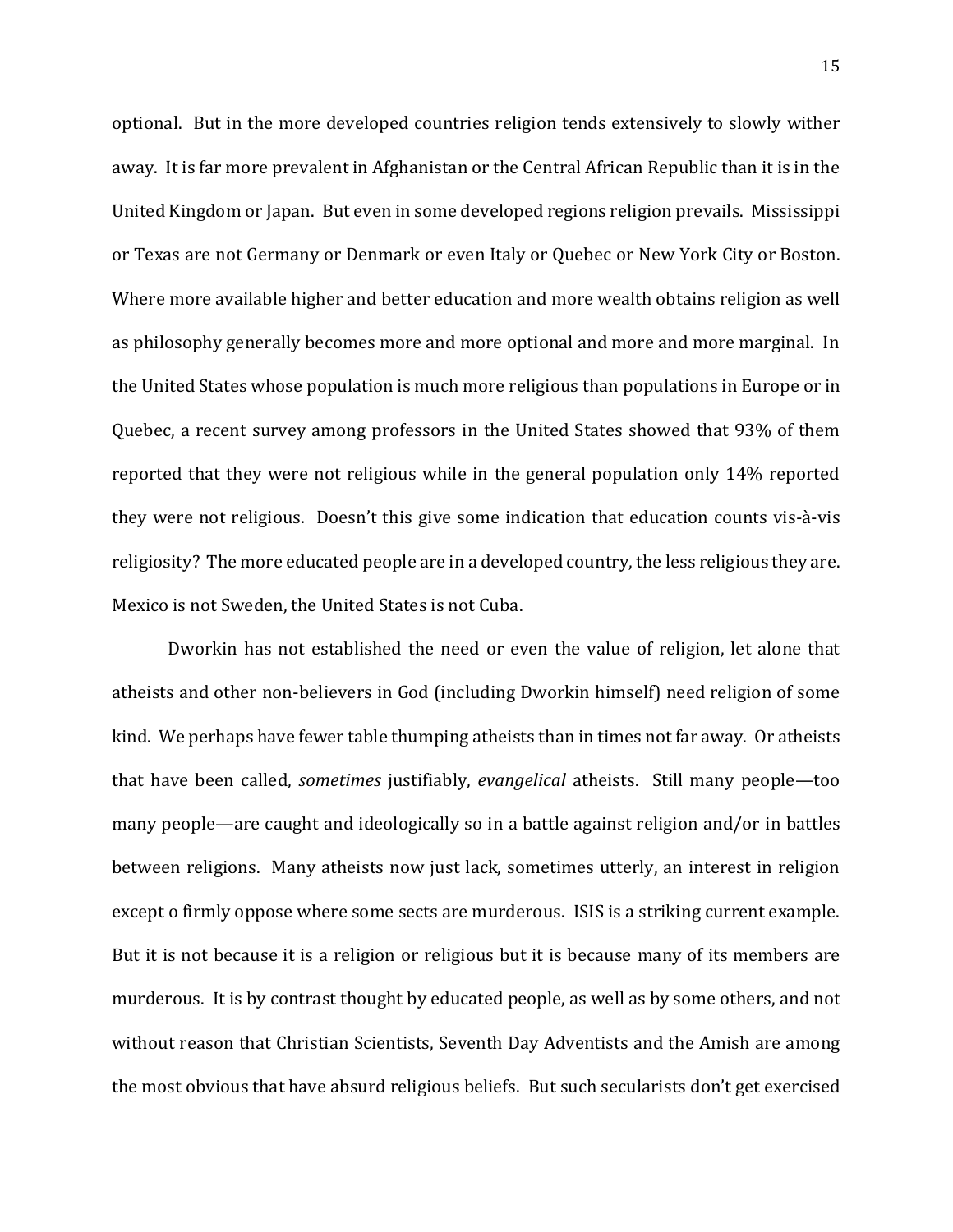optional. But in the more developed countries religion tends extensively to slowly wither away. It is far more prevalent in Afghanistan or the Central African Republic than it is in the United Kingdom or Japan. But even in some developed regions religion prevails. Mississippi or Texas are not Germany or Denmark or even Italy or Quebec or New York City or Boston. Where more available higher and better education and more wealth obtains religion as well as philosophy generally becomes more and more optional and more and more marginal. In the United States whose population is much more religious than populations in Europe or in Quebec, a recent survey among professors in the United States showed that 93% of them reported that they were not religious while in the general population only 14% reported they were not religious. Doesn't this give some indication that education counts vis-à-vis religiosity? The more educated people are in a developed country, the less religious they are. Mexico is not Sweden, the United States is not Cuba.

Dworkin has not established the need or even the value of religion, let alone that atheists and other non-believers in God (including Dworkin himself) need religion of some kind. We perhaps have fewer table thumping atheists than in times not far away. Or atheists that have been called, *sometimes* justifiably, *evangelical* atheists. Still many people—too many people—are caught and ideologically so in a battle against religion and/or in battles between religions. Many atheists now just lack, sometimes utterly, an interest in religion except o firmly oppose where some sects are murderous. ISIS is a striking current example. But it is not because it is a religion or religious but it is because many of its members are murderous. It is by contrast thought by educated people, as well as by some others, and not without reason that Christian Scientists, Seventh Day Adventists and the Amish are among the most obvious that have absurd religious beliefs. But such secularists don't get exercised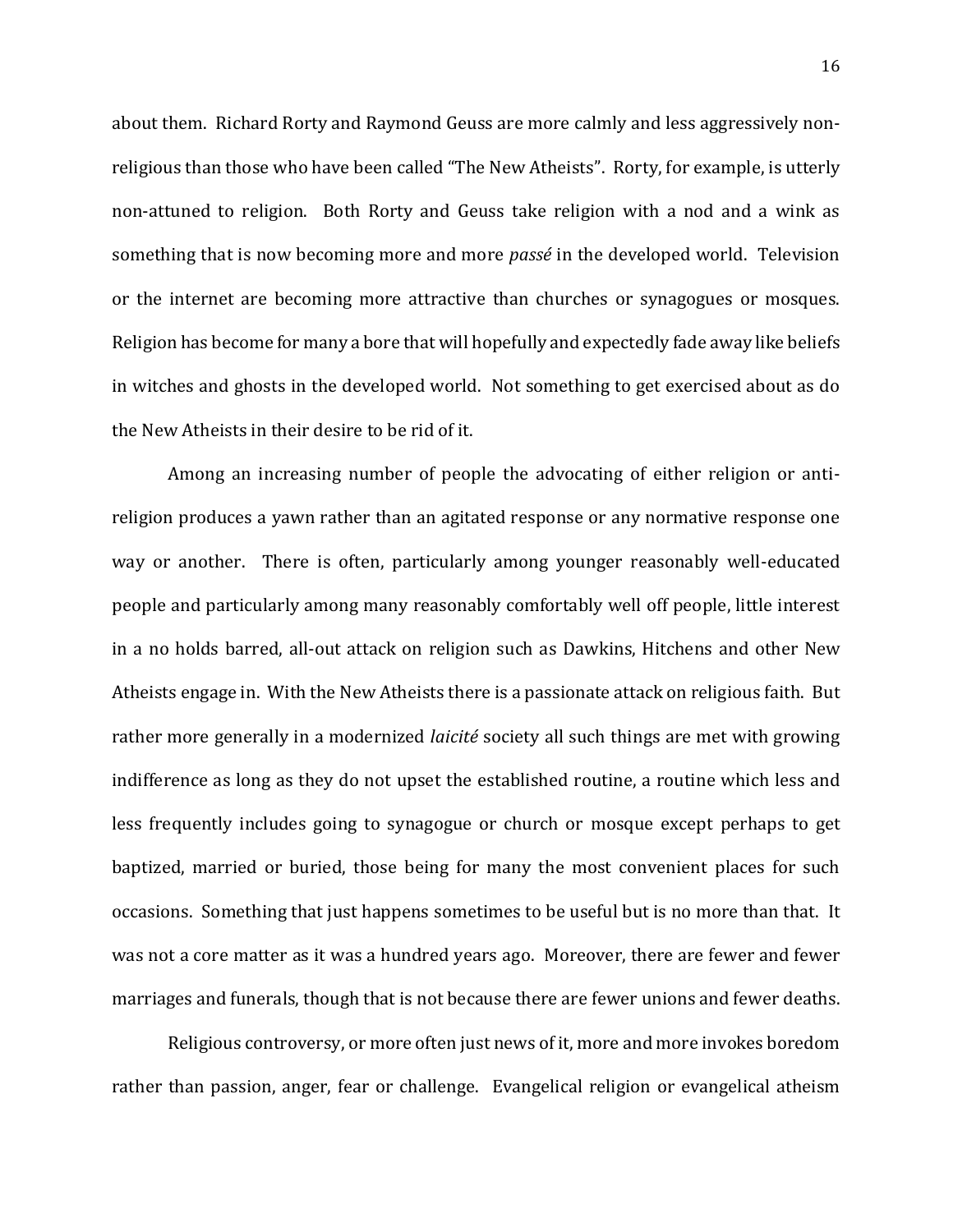about them. Richard Rorty and Raymond Geuss are more calmly and less aggressively nonreligious than those who have been called "The New Atheists". Rorty, for example, is utterly non-attuned to religion. Both Rorty and Geuss take religion with a nod and a wink as something that is now becoming more and more *passé* in the developed world. Television or the internet are becoming more attractive than churches or synagogues or mosques. Religion has become for many a bore that will hopefully and expectedly fade away like beliefs in witches and ghosts in the developed world. Not something to get exercised about as do the New Atheists in their desire to be rid of it.

Among an increasing number of people the advocating of either religion or antireligion produces a yawn rather than an agitated response or any normative response one way or another. There is often, particularly among younger reasonably well-educated people and particularly among many reasonably comfortably well off people, little interest in a no holds barred, all-out attack on religion such as Dawkins, Hitchens and other New Atheists engage in. With the New Atheists there is a passionate attack on religious faith. But rather more generally in a modernized *laicité* society all such things are met with growing indifference as long as they do not upset the established routine, a routine which less and less frequently includes going to synagogue or church or mosque except perhaps to get baptized, married or buried, those being for many the most convenient places for such occasions. Something that just happens sometimes to be useful but is no more than that. It was not a core matter as it was a hundred years ago. Moreover, there are fewer and fewer marriages and funerals, though that is not because there are fewer unions and fewer deaths.

Religious controversy, or more often just news of it, more and more invokes boredom rather than passion, anger, fear or challenge. Evangelical religion or evangelical atheism

16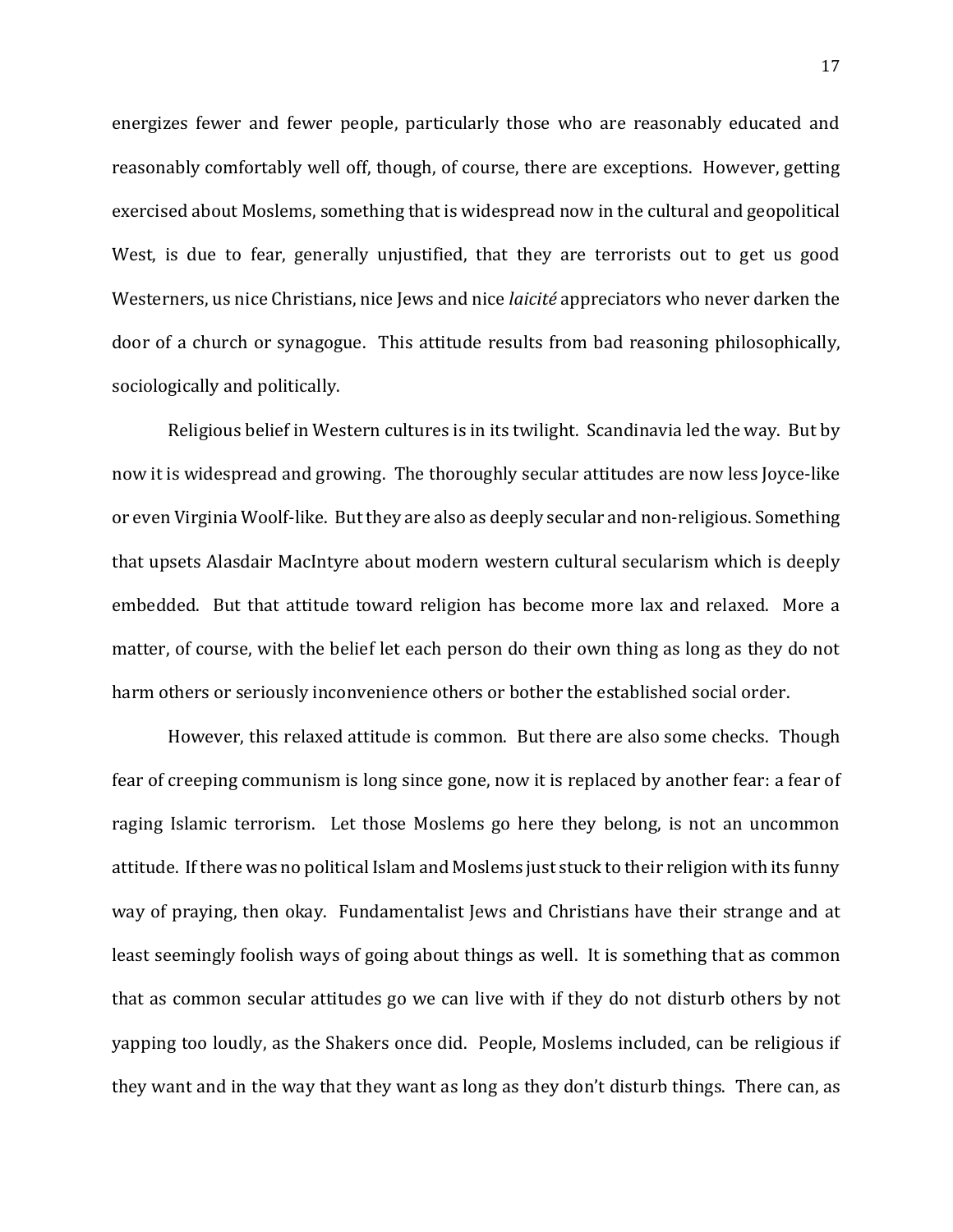energizes fewer and fewer people, particularly those who are reasonably educated and reasonably comfortably well off, though, of course, there are exceptions. However, getting exercised about Moslems, something that is widespread now in the cultural and geopolitical West, is due to fear, generally unjustified, that they are terrorists out to get us good Westerners, us nice Christians, nice Jews and nice *laicité* appreciators who never darken the door of a church or synagogue. This attitude results from bad reasoning philosophically, sociologically and politically.

Religious belief in Western cultures is in its twilight. Scandinavia led the way. But by now it is widespread and growing. The thoroughly secular attitudes are now less Joyce-like or even Virginia Woolf-like. But they are also as deeply secular and non-religious. Something that upsets Alasdair MacIntyre about modern western cultural secularism which is deeply embedded. But that attitude toward religion has become more lax and relaxed. More a matter, of course, with the belief let each person do their own thing as long as they do not harm others or seriously inconvenience others or bother the established social order.

However, this relaxed attitude is common. But there are also some checks. Though fear of creeping communism is long since gone, now it is replaced by another fear: a fear of raging Islamic terrorism. Let those Moslems go here they belong, is not an uncommon attitude. If there was no political Islam and Moslems just stuck to their religion with its funny way of praying, then okay. Fundamentalist Jews and Christians have their strange and at least seemingly foolish ways of going about things as well. It is something that as common that as common secular attitudes go we can live with if they do not disturb others by not yapping too loudly, as the Shakers once did. People, Moslems included, can be religious if they want and in the way that they want as long as they don't disturb things. There can, as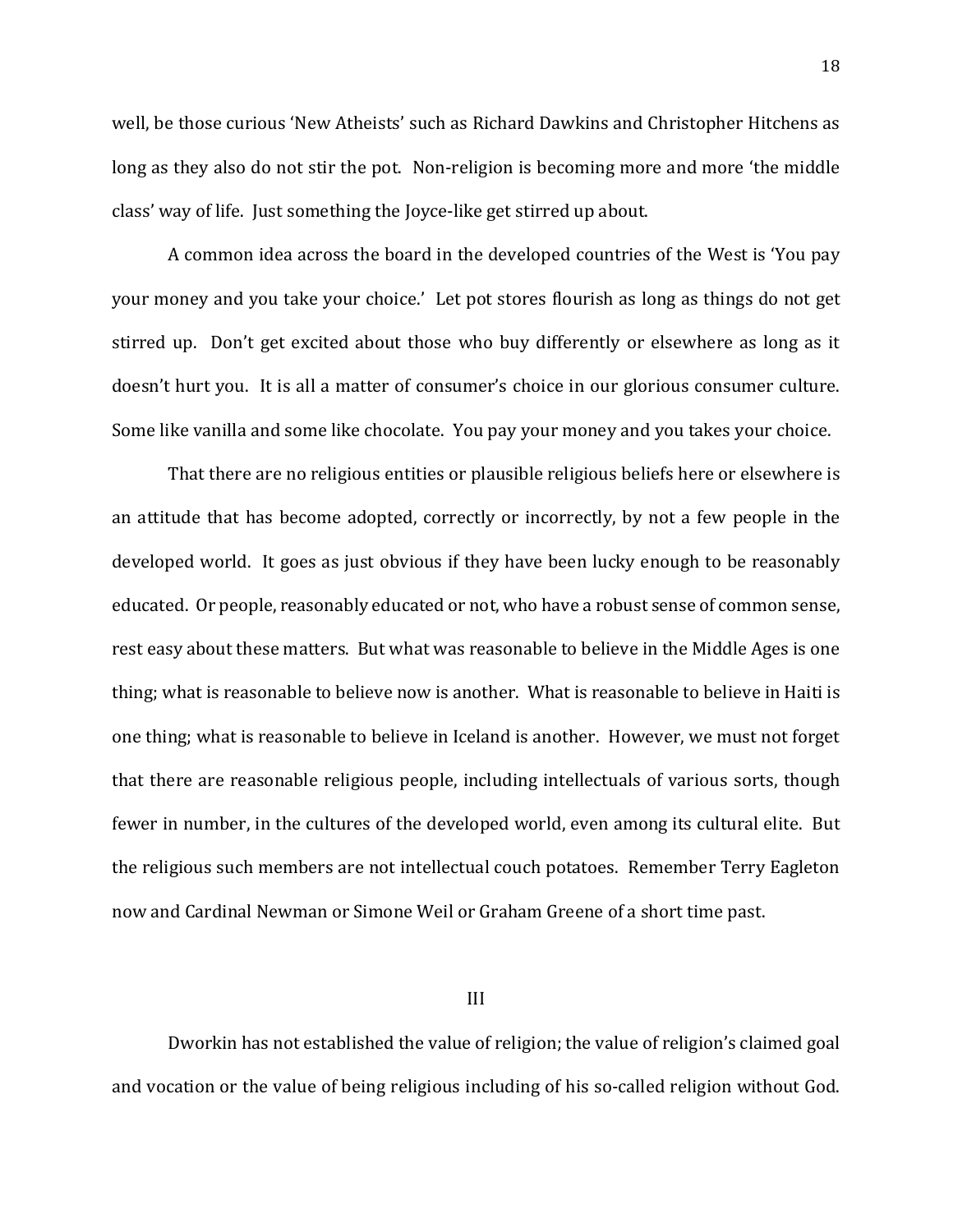well, be those curious 'New Atheists' such as Richard Dawkins and Christopher Hitchens as long as they also do not stir the pot. Non-religion is becoming more and more 'the middle class' way of life. Just something the Joyce-like get stirred up about.

A common idea across the board in the developed countries of the West is 'You pay your money and you take your choice.' Let pot stores flourish as long as things do not get stirred up. Don't get excited about those who buy differently or elsewhere as long as it doesn't hurt you. It is all a matter of consumer's choice in our glorious consumer culture. Some like vanilla and some like chocolate. You pay your money and you takes your choice.

That there are no religious entities or plausible religious beliefs here or elsewhere is an attitude that has become adopted, correctly or incorrectly, by not a few people in the developed world. It goes as just obvious if they have been lucky enough to be reasonably educated. Or people, reasonably educated or not, who have a robust sense of common sense, rest easy about these matters. But what was reasonable to believe in the Middle Ages is one thing; what is reasonable to believe now is another. What is reasonable to believe in Haiti is one thing; what is reasonable to believe in Iceland is another. However, we must not forget that there are reasonable religious people, including intellectuals of various sorts, though fewer in number, in the cultures of the developed world, even among its cultural elite. But the religious such members are not intellectual couch potatoes. Remember Terry Eagleton now and Cardinal Newman or Simone Weil or Graham Greene of a short time past.

#### III

Dworkin has not established the value of religion; the value of religion's claimed goal and vocation or the value of being religious including of his so-called religion without God.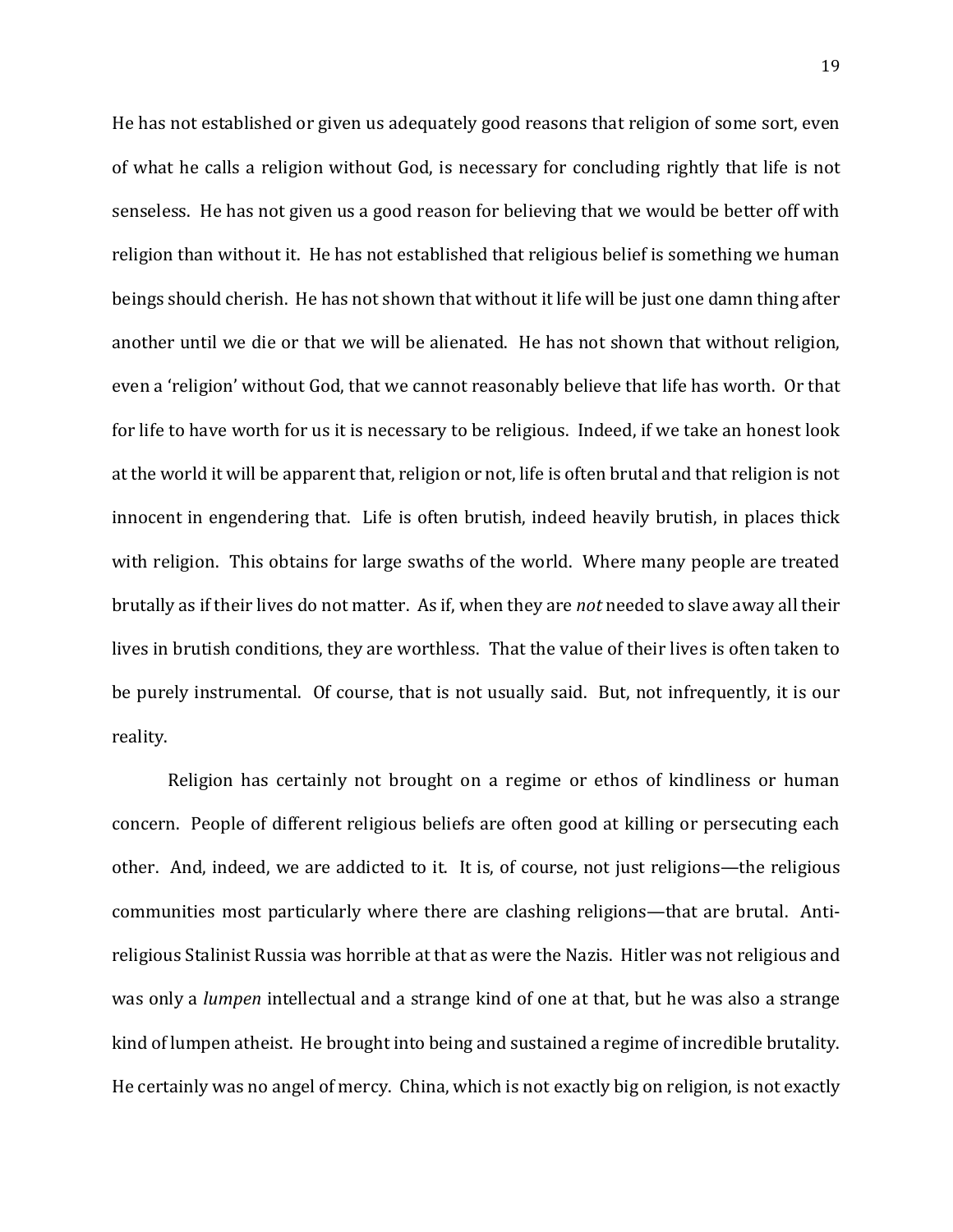He has not established or given us adequately good reasons that religion of some sort, even of what he calls a religion without God, is necessary for concluding rightly that life is not senseless. He has not given us a good reason for believing that we would be better off with religion than without it. He has not established that religious belief is something we human beings should cherish. He has not shown that without it life will be just one damn thing after another until we die or that we will be alienated. He has not shown that without religion, even a 'religion' without God, that we cannot reasonably believe that life has worth. Or that for life to have worth for us it is necessary to be religious. Indeed, if we take an honest look at the world it will be apparent that, religion or not, life is often brutal and that religion is not innocent in engendering that. Life is often brutish, indeed heavily brutish, in places thick with religion. This obtains for large swaths of the world. Where many people are treated brutally as if their lives do not matter. As if, when they are *not* needed to slave away all their lives in brutish conditions, they are worthless. That the value of their lives is often taken to be purely instrumental. Of course, that is not usually said. But, not infrequently, it is our reality.

Religion has certainly not brought on a regime or ethos of kindliness or human concern. People of different religious beliefs are often good at killing or persecuting each other. And, indeed, we are addicted to it. It is, of course, not just religions—the religious communities most particularly where there are clashing religions—that are brutal. Antireligious Stalinist Russia was horrible at that as were the Nazis. Hitler was not religious and was only a *lumpen* intellectual and a strange kind of one at that, but he was also a strange kind of lumpen atheist. He brought into being and sustained a regime of incredible brutality. He certainly was no angel of mercy. China, which is not exactly big on religion, is not exactly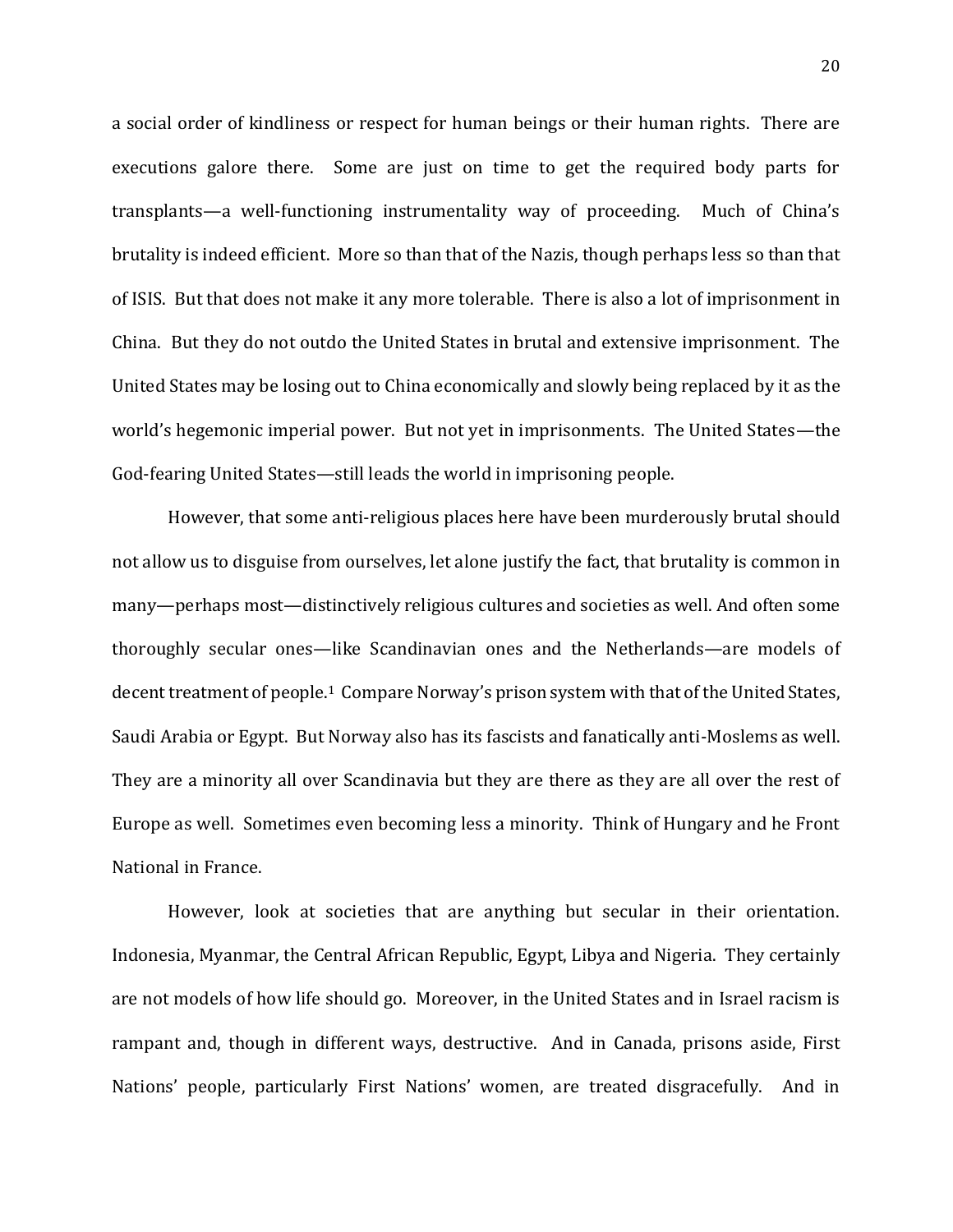a social order of kindliness or respect for human beings or their human rights. There are executions galore there. Some are just on time to get the required body parts for transplants—a well-functioning instrumentality way of proceeding. Much of China's brutality is indeed efficient. More so than that of the Nazis, though perhaps less so than that of ISIS. But that does not make it any more tolerable. There is also a lot of imprisonment in China. But they do not outdo the United States in brutal and extensive imprisonment. The United States may be losing out to China economically and slowly being replaced by it as the world's hegemonic imperial power. But not yet in imprisonments. The United States—the God-fearing United States—still leads the world in imprisoning people.

However, that some anti-religious places here have been murderously brutal should not allow us to disguise from ourselves, let alone justify the fact, that brutality is common in many—perhaps most—distinctively religious cultures and societies as well. And often some thoroughly secular ones—like Scandinavian ones and the Netherlands—are models of decent treatment of people.<sup>1</sup> Compare Norway's prison system with that of the United States, Saudi Arabia or Egypt. But Norway also has its fascists and fanatically anti-Moslems as well. They are a minority all over Scandinavia but they are there as they are all over the rest of Europe as well. Sometimes even becoming less a minority. Think of Hungary and he Front National in France.

However, look at societies that are anything but secular in their orientation. Indonesia, Myanmar, the Central African Republic, Egypt, Libya and Nigeria. They certainly are not models of how life should go. Moreover, in the United States and in Israel racism is rampant and, though in different ways, destructive. And in Canada, prisons aside, First Nations' people, particularly First Nations' women, are treated disgracefully. And in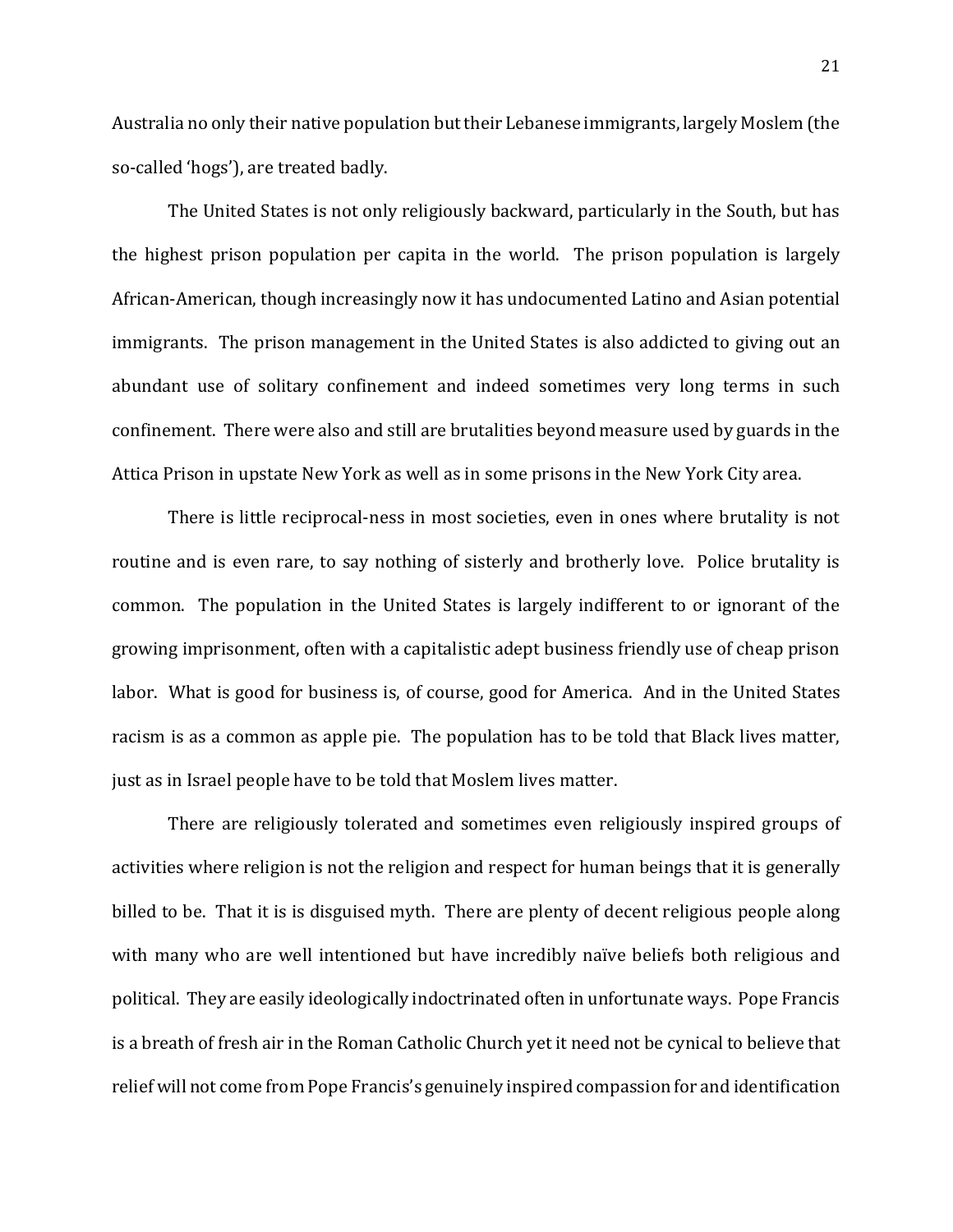Australia no only their native population but their Lebanese immigrants, largely Moslem (the so-called 'hogs'), are treated badly.

The United States is not only religiously backward, particularly in the South, but has the highest prison population per capita in the world. The prison population is largely African-American, though increasingly now it has undocumented Latino and Asian potential immigrants. The prison management in the United States is also addicted to giving out an abundant use of solitary confinement and indeed sometimes very long terms in such confinement. There were also and still are brutalities beyond measure used by guards in the Attica Prison in upstate New York as well as in some prisons in the New York City area.

There is little reciprocal-ness in most societies, even in ones where brutality is not routine and is even rare, to say nothing of sisterly and brotherly love. Police brutality is common. The population in the United States is largely indifferent to or ignorant of the growing imprisonment, often with a capitalistic adept business friendly use of cheap prison labor. What is good for business is, of course, good for America. And in the United States racism is as a common as apple pie. The population has to be told that Black lives matter, just as in Israel people have to be told that Moslem lives matter.

There are religiously tolerated and sometimes even religiously inspired groups of activities where religion is not the religion and respect for human beings that it is generally billed to be. That it is is disguised myth. There are plenty of decent religious people along with many who are well intentioned but have incredibly naïve beliefs both religious and political. They are easily ideologically indoctrinated often in unfortunate ways. Pope Francis is a breath of fresh air in the Roman Catholic Church yet it need not be cynical to believe that relief will not come from Pope Francis's genuinely inspired compassion for and identification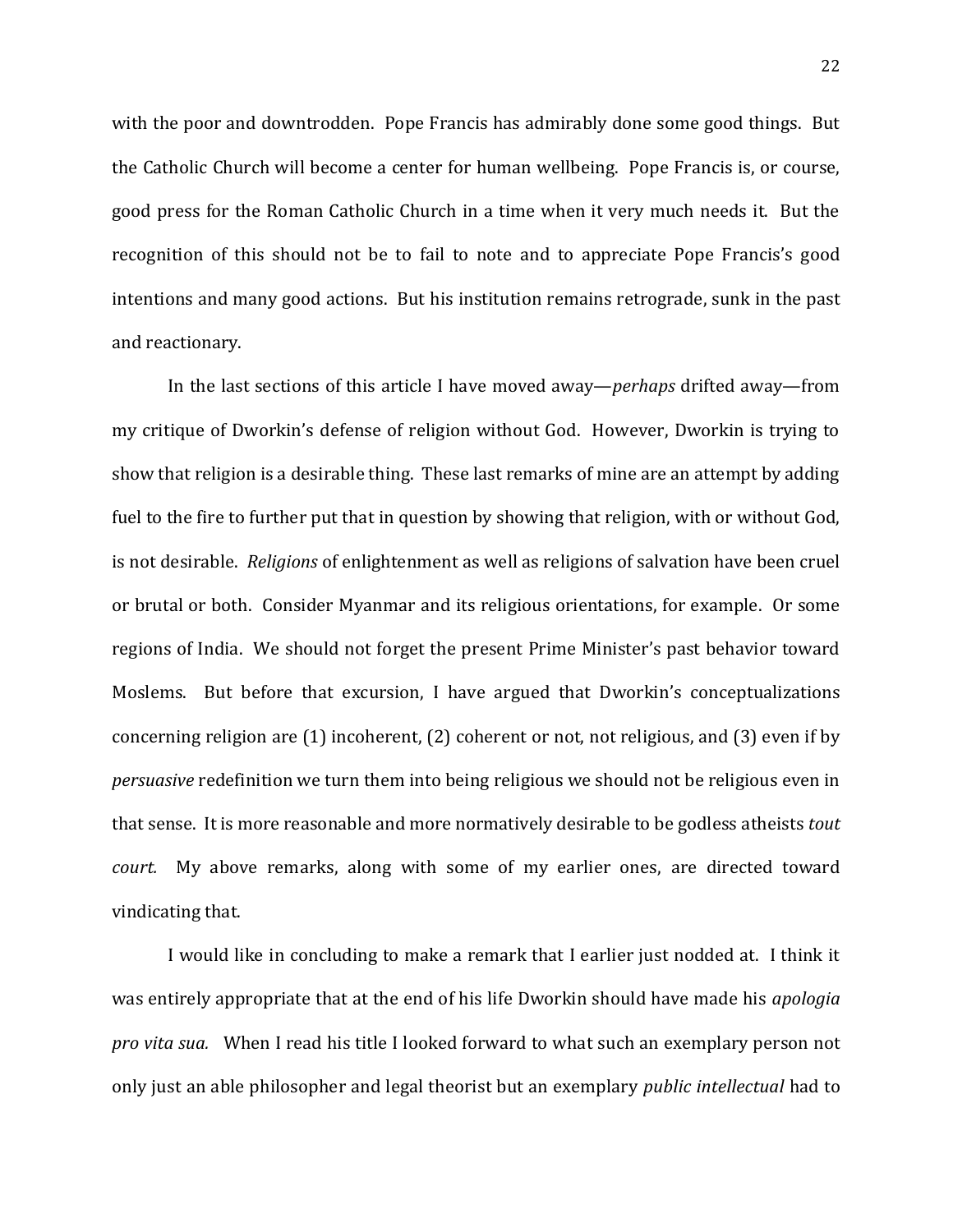with the poor and downtrodden. Pope Francis has admirably done some good things. But the Catholic Church will become a center for human wellbeing. Pope Francis is, or course, good press for the Roman Catholic Church in a time when it very much needs it. But the recognition of this should not be to fail to note and to appreciate Pope Francis's good intentions and many good actions. But his institution remains retrograde, sunk in the past and reactionary.

In the last sections of this article I have moved away—*perhaps* drifted away—from my critique of Dworkin's defense of religion without God. However, Dworkin is trying to show that religion is a desirable thing. These last remarks of mine are an attempt by adding fuel to the fire to further put that in question by showing that religion, with or without God, is not desirable. *Religions* of enlightenment as well as religions of salvation have been cruel or brutal or both. Consider Myanmar and its religious orientations, for example. Or some regions of India. We should not forget the present Prime Minister's past behavior toward Moslems. But before that excursion, I have argued that Dworkin's conceptualizations concerning religion are (1) incoherent, (2) coherent or not, not religious, and (3) even if by *persuasive* redefinition we turn them into being religious we should not be religious even in that sense. It is more reasonable and more normatively desirable to be godless atheists *tout court.* My above remarks, along with some of my earlier ones, are directed toward vindicating that.

I would like in concluding to make a remark that I earlier just nodded at. I think it was entirely appropriate that at the end of his life Dworkin should have made his *apologia pro vita sua.* When I read his title I looked forward to what such an exemplary person not only just an able philosopher and legal theorist but an exemplary *public intellectual* had to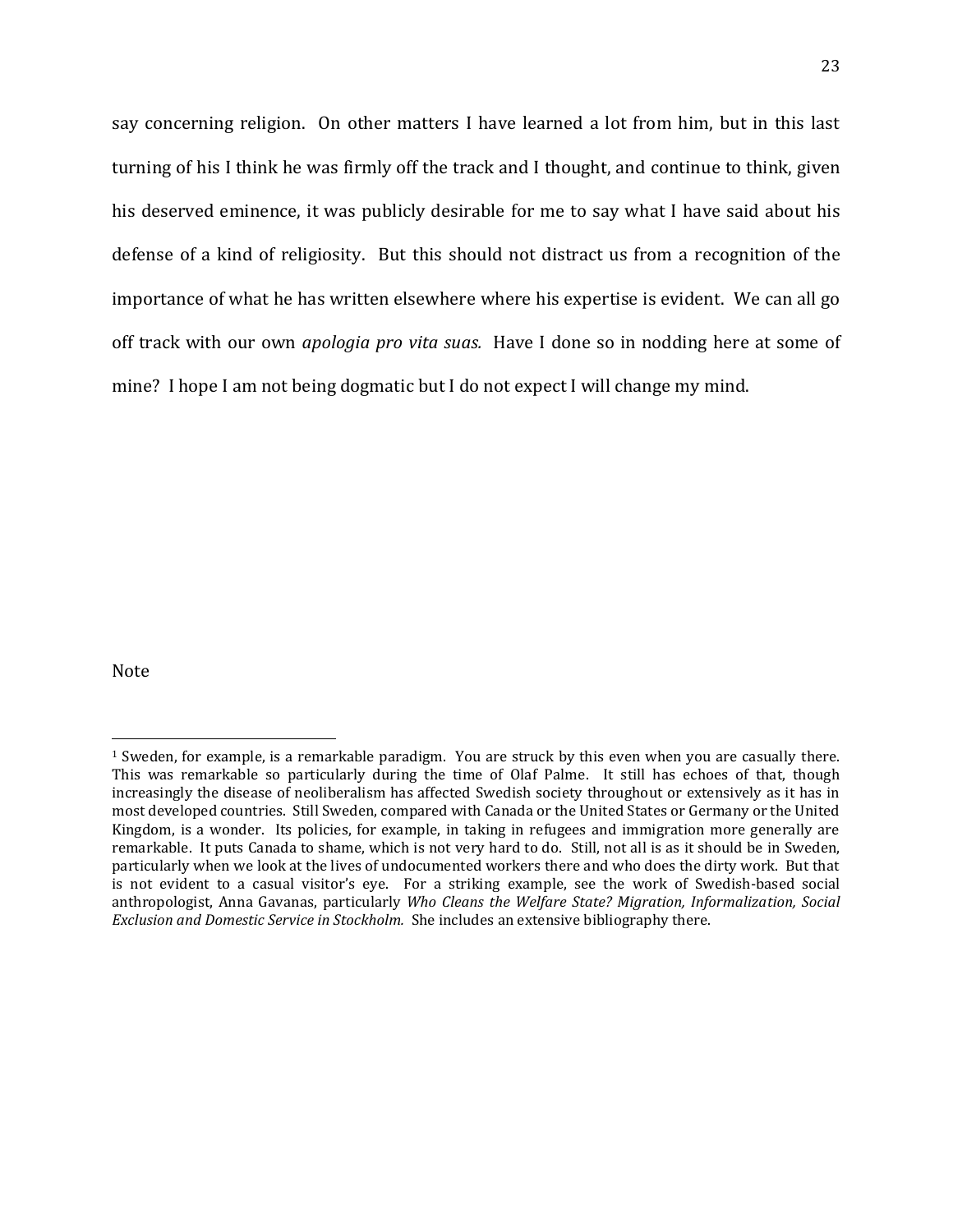say concerning religion. On other matters I have learned a lot from him, but in this last turning of his I think he was firmly off the track and I thought, and continue to think, given his deserved eminence, it was publicly desirable for me to say what I have said about his defense of a kind of religiosity. But this should not distract us from a recognition of the importance of what he has written elsewhere where his expertise is evident. We can all go off track with our own *apologia pro vita suas.* Have I done so in nodding here at some of mine? I hope I am not being dogmatic but I do not expect I will change my mind.

Note

 $\overline{\phantom{a}}$ 

<sup>1</sup> Sweden, for example, is a remarkable paradigm. You are struck by this even when you are casually there. This was remarkable so particularly during the time of Olaf Palme. It still has echoes of that, though increasingly the disease of neoliberalism has affected Swedish society throughout or extensively as it has in most developed countries. Still Sweden, compared with Canada or the United States or Germany or the United Kingdom, is a wonder. Its policies, for example, in taking in refugees and immigration more generally are remarkable. It puts Canada to shame, which is not very hard to do. Still, not all is as it should be in Sweden, particularly when we look at the lives of undocumented workers there and who does the dirty work. But that is not evident to a casual visitor's eye. For a striking example, see the work of Swedish-based social anthropologist, Anna Gavanas, particularly *Who Cleans the Welfare State? Migration, Informalization, Social Exclusion and Domestic Service in Stockholm.* She includes an extensive bibliography there.